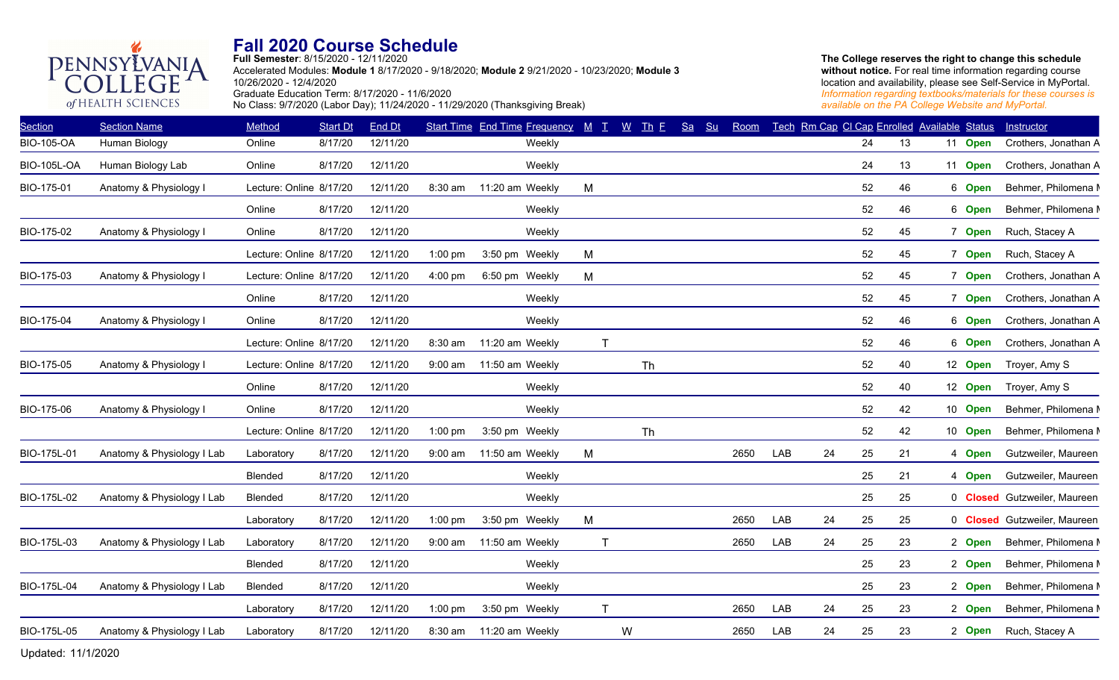# PENNSYLVANIA **Fall 2020 Course Schedule**

GE

of HEALTH SCIENCES

**Full Semester**: 8/15/2020 - 12/11/2020 Accelerated Modules: **Module 1** 8/17/2020 - 9/18/2020; **Module 2** 9/21/2020 - 10/23/2020; **Module 3** 10/26/2020 - 12/4/2020 Graduate Education Term: 8/17/2020 - 11/6/2020 No Class: 9/7/2020 (Labor Day); 11/24/2020 - 11/29/2020 (Thanksgiving Break)

| <b>Section</b>     | <b>Section Name</b>        | Method                  | <b>Start Dt</b> | End Dt   |           | <b>Start Time End Time Frequency</b> | $M$ $T$        | $W$ Th E  | Sa<br>Su | Room |     |    |    | Tech Rm Cap CI Cap Enrolled Available Status |         | Instructor                          |
|--------------------|----------------------------|-------------------------|-----------------|----------|-----------|--------------------------------------|----------------|-----------|----------|------|-----|----|----|----------------------------------------------|---------|-------------------------------------|
| <b>BIO-105-OA</b>  | Human Biology              | Online                  | 8/17/20         | 12/11/20 |           | Weekly                               |                |           |          |      |     |    | 24 | 13                                           | 11 Open | Crothers, Jonathan A                |
| <b>BIO-105L-OA</b> | Human Biology Lab          | Online                  | 8/17/20         | 12/11/20 |           | Weekly                               |                |           |          |      |     |    | 24 | 13                                           | 11 Open | Crothers, Jonathan A                |
| BIO-175-01         | Anatomy & Physiology I     | Lecture: Online 8/17/20 |                 | 12/11/20 | 8:30 am   | 11:20 am Weekly                      | M              |           |          |      |     |    | 52 | 46                                           | 6 Open  | Behmer, Philomena M                 |
|                    |                            | Online                  | 8/17/20         | 12/11/20 |           | Weekly                               |                |           |          |      |     |    | 52 | 46                                           | 6 Open  | Behmer, Philomena M                 |
| BIO-175-02         | Anatomy & Physiology I     | Online                  | 8/17/20         | 12/11/20 |           | Weekly                               |                |           |          |      |     |    | 52 | 45                                           | 7 Open  | Ruch, Stacey A                      |
|                    |                            | Lecture: Online 8/17/20 |                 | 12/11/20 | $1:00$ pm | 3:50 pm Weekly                       | M              |           |          |      |     |    | 52 | 45                                           | 7 Open  | Ruch, Stacey A                      |
| BIO-175-03         | Anatomy & Physiology I     | Lecture: Online 8/17/20 |                 | 12/11/20 | 4:00 pm   | 6:50 pm Weekly                       | M              |           |          |      |     |    | 52 | 45                                           | 7 Open  | Crothers, Jonathan A                |
|                    |                            | Online                  | 8/17/20         | 12/11/20 |           | Weekly                               |                |           |          |      |     |    | 52 | 45                                           | 7 Open  | Crothers, Jonathan A                |
| BIO-175-04         | Anatomy & Physiology I     | Online                  | 8/17/20         | 12/11/20 |           | Weekly                               |                |           |          |      |     |    | 52 | 46                                           | 6 Open  | Crothers, Jonathan A                |
|                    |                            | Lecture: Online 8/17/20 |                 | 12/11/20 | 8:30 am   | 11:20 am Weekly                      | $\mathsf{T}$   |           |          |      |     |    | 52 | 46                                           | 6 Open  | Crothers, Jonathan A                |
| BIO-175-05         | Anatomy & Physiology I     | Lecture: Online 8/17/20 |                 | 12/11/20 | $9:00$ am | 11:50 am Weekly                      |                | <b>Th</b> |          |      |     |    | 52 | 40                                           | 12 Open | Troyer, Amy S                       |
|                    |                            | Online                  | 8/17/20         | 12/11/20 |           | Weekly                               |                |           |          |      |     |    | 52 | 40                                           | 12 Open | Troyer, Amy S                       |
| BIO-175-06         | Anatomy & Physiology I     | Online                  | 8/17/20         | 12/11/20 |           | Weekly                               |                |           |          |      |     |    | 52 | 42                                           | 10 Open | Behmer, Philomena M                 |
|                    |                            | Lecture: Online 8/17/20 |                 | 12/11/20 | $1:00$ pm | 3:50 pm Weekly                       |                | <b>Th</b> |          |      |     |    | 52 | 42                                           | 10 Open | Behmer, Philomena M                 |
| BIO-175L-01        | Anatomy & Physiology I Lab | Laboratory              | 8/17/20         | 12/11/20 | $9:00$ am | 11:50 am Weekly                      | M              |           |          | 2650 | LAB | 24 | 25 | 21                                           | 4 Open  | Gutzweiler, Maureen                 |
|                    |                            | Blended                 | 8/17/20         | 12/11/20 |           | Weekly                               |                |           |          |      |     |    | 25 | 21                                           | 4 Open  | Gutzweiler, Maureen                 |
| BIO-175L-02        | Anatomy & Physiology I Lab | <b>Blended</b>          | 8/17/20         | 12/11/20 |           | Weekly                               |                |           |          |      |     |    | 25 | 25                                           |         | 0 <b>Closed</b> Gutzweiler, Maureen |
|                    |                            | Laboratory              | 8/17/20         | 12/11/20 | $1:00$ pm | 3:50 pm Weekly                       | M              |           |          | 2650 | LAB | 24 | 25 | 25                                           |         | 0 <b>Closed</b> Gutzweiler, Maureen |
| BIO-175L-03        | Anatomy & Physiology I Lab | Laboratory              | 8/17/20         | 12/11/20 | $9:00$ am | 11:50 am Weekly                      | $\mathbf \tau$ |           |          | 2650 | LAB | 24 | 25 | 23                                           | 2 Open  | Behmer, Philomena M                 |
|                    |                            | Blended                 | 8/17/20         | 12/11/20 |           | Weekly                               |                |           |          |      |     |    | 25 | 23                                           | 2 Open  | Behmer, Philomena M                 |
| BIO-175L-04        | Anatomy & Physiology I Lab | Blended                 | 8/17/20         | 12/11/20 |           | Weekly                               |                |           |          |      |     |    | 25 | 23                                           | 2 Open  | Behmer, Philomena M                 |
|                    |                            | Laboratory              | 8/17/20         | 12/11/20 | $1:00$ pm | 3:50 pm Weekly                       | Т              |           |          | 2650 | LAB | 24 | 25 | 23                                           | 2 Open  | Behmer, Philomena M                 |
| BIO-175L-05        | Anatomy & Physiology I Lab | Laboratory              | 8/17/20         | 12/11/20 | 8:30 am   | 11:20 am Weekly                      |                | W         |          | 2650 | LAB | 24 | 25 | 23                                           | 2 Open  | Ruch, Stacey A                      |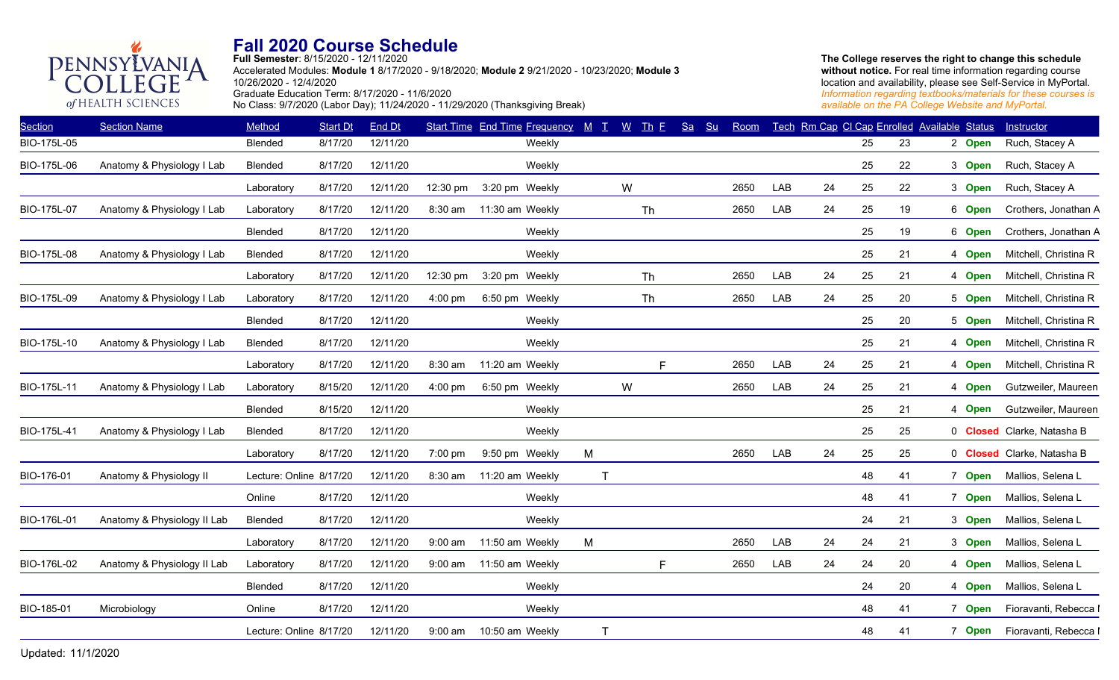**Full Semester**: 8/15/2020 - 12/11/2020 Accelerated Modules: **Module 1** 8/17/2020 - 9/18/2020; **Module 2** 9/21/2020 - 10/23/2020; **Module 3** 10/26/2020 - 12/4/2020

PENNSYLVANIA Graduate Education Term: 8/17/2020 - 11/6/2020

GE

of HEALTH SCIENCES

No Class: 9/7/2020 (Labor Day); 11/24/2020 - 11/29/2020 (Thanksgiving Break)

| <b>Section</b> | <b>Section Name</b>         | Method                  | <b>Start Dt</b> | End Dt   |           | Start Time End Time Frequency M T |             | $\underline{W}$ Th E |           | Sa<br>Su | Room |     |    |    | Tech Rm Cap CI Cap Enrolled Available Status |        | Instructor                 |
|----------------|-----------------------------|-------------------------|-----------------|----------|-----------|-----------------------------------|-------------|----------------------|-----------|----------|------|-----|----|----|----------------------------------------------|--------|----------------------------|
| BIO-175L-05    |                             | Blended                 | 8/17/20         | 12/11/20 |           | Weekly                            |             |                      |           |          |      |     |    | 25 | 23                                           | 2 Open | Ruch, Stacey A             |
| BIO-175L-06    | Anatomy & Physiology I Lab  | Blended                 | 8/17/20         | 12/11/20 |           | Weekly                            |             |                      |           |          |      |     |    | 25 | 22                                           | 3 Open | Ruch, Stacey A             |
|                |                             | Laboratory              | 8/17/20         | 12/11/20 | 12:30 pm  | 3:20 pm Weekly                    |             | W                    |           |          | 2650 | LAB | 24 | 25 | 22                                           | 3 Open | Ruch, Stacey A             |
| BIO-175L-07    | Anatomy & Physiology I Lab  | Laboratory              | 8/17/20         | 12/11/20 | 8:30 am   | 11:30 am Weekly                   |             |                      | Th        |          | 2650 | LAB | 24 | 25 | 19                                           | 6 Open | Crothers, Jonathan A       |
|                |                             | Blended                 | 8/17/20         | 12/11/20 |           | Weekly                            |             |                      |           |          |      |     |    | 25 | 19                                           | 6 Open | Crothers, Jonathan A       |
| BIO-175L-08    | Anatomy & Physiology I Lab  | Blended                 | 8/17/20         | 12/11/20 |           | Weekly                            |             |                      |           |          |      |     |    | 25 | 21                                           | 4 Open | Mitchell, Christina R      |
|                |                             | Laboratory              | 8/17/20         | 12/11/20 | 12:30 pm  | 3:20 pm Weekly                    |             |                      | Th        |          | 2650 | LAB | 24 | 25 | 21                                           | 4 Open | Mitchell, Christina R      |
| BIO-175L-09    | Anatomy & Physiology I Lab  | Laboratory              | 8/17/20         | 12/11/20 | 4:00 pm   | 6:50 pm Weekly                    |             |                      | <b>Th</b> |          | 2650 | LAB | 24 | 25 | 20                                           | 5 Open | Mitchell, Christina R      |
|                |                             | Blended                 | 8/17/20         | 12/11/20 |           | Weekly                            |             |                      |           |          |      |     |    | 25 | 20                                           | 5 Open | Mitchell, Christina R      |
| BIO-175L-10    | Anatomy & Physiology I Lab  | Blended                 | 8/17/20         | 12/11/20 |           | Weekly                            |             |                      |           |          |      |     |    | 25 | 21                                           | 4 Open | Mitchell, Christina R      |
|                |                             | Laboratory              | 8/17/20         | 12/11/20 | 8:30 am   | 11:20 am Weekly                   |             |                      | F         |          | 2650 | LAB | 24 | 25 | 21                                           | 4 Open | Mitchell, Christina R      |
| BIO-175L-11    | Anatomy & Physiology I Lab  | Laboratory              | 8/15/20         | 12/11/20 | $4:00$ pm | 6:50 pm Weekly                    |             | W                    |           |          | 2650 | LAB | 24 | 25 | 21                                           | 4 Open | Gutzweiler, Maureen        |
|                |                             | Blended                 | 8/15/20         | 12/11/20 |           | Weekly                            |             |                      |           |          |      |     |    | 25 | 21                                           | 4 Open | Gutzweiler, Maureen        |
| BIO-175L-41    | Anatomy & Physiology I Lab  | Blended                 | 8/17/20         | 12/11/20 |           | Weekly                            |             |                      |           |          |      |     |    | 25 | 25                                           |        | 0 Closed Clarke, Natasha B |
|                |                             | Laboratory              | 8/17/20         | 12/11/20 | 7:00 pm   | 9:50 pm Weekly                    | M           |                      |           |          | 2650 | LAB | 24 | 25 | 25                                           |        | 0 Closed Clarke, Natasha B |
| BIO-176-01     | Anatomy & Physiology II     | Lecture: Online 8/17/20 |                 | 12/11/20 | 8:30 am   | 11:20 am Weekly                   | $\top$      |                      |           |          |      |     |    | 48 | 41                                           | 7 Open | Mallios, Selena L          |
|                |                             | Online                  | 8/17/20         | 12/11/20 |           | Weekly                            |             |                      |           |          |      |     |    | 48 | 41                                           | 7 Open | Mallios, Selena L          |
| BIO-176L-01    | Anatomy & Physiology II Lab | Blended                 | 8/17/20         | 12/11/20 |           | Weekly                            |             |                      |           |          |      |     |    | 24 | 21                                           | 3 Open | Mallios, Selena L          |
|                |                             | Laboratory              | 8/17/20         | 12/11/20 | $9:00$ am | 11:50 am Weekly                   | M           |                      |           |          | 2650 | LAB | 24 | 24 | 21                                           | 3 Open | Mallios, Selena L          |
| BIO-176L-02    | Anatomy & Physiology II Lab | Laboratory              | 8/17/20         | 12/11/20 | $9:00$ am | 11:50 am Weekly                   |             |                      | F.        |          | 2650 | LAB | 24 | 24 | 20                                           | 4 Open | Mallios, Selena L          |
|                |                             | Blended                 | 8/17/20         | 12/11/20 |           | Weekly                            |             |                      |           |          |      |     |    | 24 | 20                                           | 4 Open | Mallios, Selena L          |
| BIO-185-01     | Microbiology                | Online                  | 8/17/20         | 12/11/20 |           | Weekly                            |             |                      |           |          |      |     |    | 48 | 41                                           | 7 Open | Fioravanti, Rebecca I      |
|                |                             | Lecture: Online 8/17/20 |                 | 12/11/20 | $9:00$ am | 10:50 am Weekly                   | $\mathsf T$ |                      |           |          |      |     |    | 48 | 41                                           | 7 Open | Fioravanti, Rebecca I      |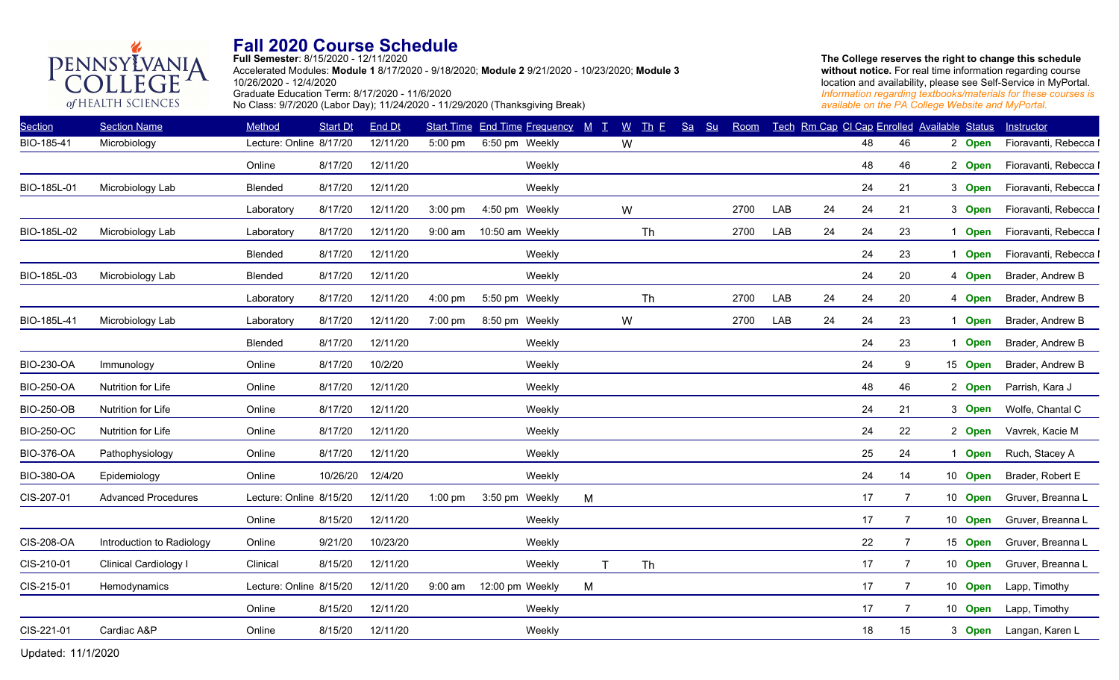**Full Semester**: 8/15/2020 - 12/11/2020

Accelerated Modules: **Module 1** 8/17/2020 - 9/18/2020; **Module 2** 9/21/2020 - 10/23/2020; **Module 3** 10/26/2020 - 12/4/2020 Graduate Education Term: 8/17/2020 - 11/6/2020 No Class: 9/7/2020 (Labor Day); 11/24/2020 - 11/29/2020 (Thanksgiving Break)

**The College reserves the right to change this schedule**  without notice. For real time information regarding course location and availability, please see Self-Service in MyPortal. *Information regarding textbooks/materials for these courses is available on the PA College Website and MyPortal.*

| <b>Section</b>    | <b>Section Name</b>        | Method                  | <b>Start Dt</b> | End Dt   |           | Start Time End Time Frequency M T |   |              | $W$ Th E | Sa Su | Room |     |    | Tech Rm Cap CI Cap Enrolled Available Status |                |         | Instructor            |
|-------------------|----------------------------|-------------------------|-----------------|----------|-----------|-----------------------------------|---|--------------|----------|-------|------|-----|----|----------------------------------------------|----------------|---------|-----------------------|
| BIO-185-41        | Microbiology               | Lecture: Online 8/17/20 |                 | 12/11/20 | 5:00 pm   | 6:50 pm Weekly                    |   | W            |          |       |      |     |    | 48                                           | 46             | 2 Open  | Fioravanti, Rebecca I |
|                   |                            | Online                  | 8/17/20         | 12/11/20 |           | Weekly                            |   |              |          |       |      |     |    | 48                                           | 46             | 2 Open  | Fioravanti, Rebecca I |
| BIO-185L-01       | Microbiology Lab           | Blended                 | 8/17/20         | 12/11/20 |           | Weekly                            |   |              |          |       |      |     |    | 24                                           | 21             | 3 Open  | Fioravanti, Rebecca I |
|                   |                            | Laboratory              | 8/17/20         | 12/11/20 | 3:00 pm   | 4:50 pm Weekly                    |   | W            |          |       | 2700 | LAB | 24 | 24                                           | 21             | 3 Open  | Fioravanti, Rebecca I |
| BIO-185L-02       | Microbiology Lab           | Laboratory              | 8/17/20         | 12/11/20 | $9:00$ am | 10:50 am Weekly                   |   |              | Th       |       | 2700 | LAB | 24 | 24                                           | 23             | 1 Open  | Fioravanti, Rebecca I |
|                   |                            | <b>Blended</b>          | 8/17/20         | 12/11/20 |           | Weekly                            |   |              |          |       |      |     |    | 24                                           | 23             | 1 Open  | Fioravanti, Rebecca I |
| BIO-185L-03       | Microbiology Lab           | Blended                 | 8/17/20         | 12/11/20 |           | Weekly                            |   |              |          |       |      |     |    | 24                                           | 20             | 4 Open  | Brader, Andrew B      |
|                   |                            | Laboratory              | 8/17/20         | 12/11/20 | 4:00 pm   | 5:50 pm Weekly                    |   |              | Th       |       | 2700 | LAB | 24 | 24                                           | 20             | 4 Open  | Brader, Andrew B      |
| BIO-185L-41       | Microbiology Lab           | Laboratory              | 8/17/20         | 12/11/20 | 7:00 pm   | 8:50 pm Weekly                    |   | W            |          |       | 2700 | LAB | 24 | 24                                           | 23             | 1 Open  | Brader, Andrew B      |
|                   |                            | Blended                 | 8/17/20         | 12/11/20 |           | Weekly                            |   |              |          |       |      |     |    | 24                                           | 23             | 1 Open  | Brader, Andrew B      |
| <b>BIO-230-OA</b> | Immunology                 | Online                  | 8/17/20         | 10/2/20  |           | Weekly                            |   |              |          |       |      |     |    | 24                                           | 9              | 15 Open | Brader, Andrew B      |
| <b>BIO-250-OA</b> | Nutrition for Life         | Online                  | 8/17/20         | 12/11/20 |           | Weekly                            |   |              |          |       |      |     |    | 48                                           | 46             | 2 Open  | Parrish, Kara J       |
| <b>BIO-250-OB</b> | Nutrition for Life         | Online                  | 8/17/20         | 12/11/20 |           | Weekly                            |   |              |          |       |      |     |    | 24                                           | 21             | 3 Open  | Wolfe, Chantal C      |
| <b>BIO-250-OC</b> | Nutrition for Life         | Online                  | 8/17/20         | 12/11/20 |           | Weekly                            |   |              |          |       |      |     |    | 24                                           | 22             | 2 Open  | Vavrek, Kacie M       |
| <b>BIO-376-OA</b> | Pathophysiology            | Online                  | 8/17/20         | 12/11/20 |           | Weekly                            |   |              |          |       |      |     |    | 25                                           | 24             | 1 Open  | Ruch, Stacey A        |
| <b>BIO-380-OA</b> | Epidemiology               | Online                  | 10/26/20        | 12/4/20  |           | Weekly                            |   |              |          |       |      |     |    | 24                                           | 14             | 10 Open | Brader, Robert E      |
| CIS-207-01        | <b>Advanced Procedures</b> | Lecture: Online 8/15/20 |                 | 12/11/20 | $1:00$ pm | 3:50 pm Weekly                    | M |              |          |       |      |     |    | 17                                           | $\overline{7}$ | 10 Open | Gruver, Breanna L     |
|                   |                            | Online                  | 8/15/20         | 12/11/20 |           | Weekly                            |   |              |          |       |      |     |    | 17                                           | 7              | 10 Open | Gruver, Breanna L     |
| CIS-208-OA        | Introduction to Radiology  | Online                  | 9/21/20         | 10/23/20 |           | Weekly                            |   |              |          |       |      |     |    | 22                                           | $\overline{7}$ | 15 Open | Gruver, Breanna L     |
| CIS-210-01        | Clinical Cardiology I      | Clinical                | 8/15/20         | 12/11/20 |           | Weekly                            |   | $\mathsf{T}$ | Th       |       |      |     |    | 17                                           | 7              | 10 Open | Gruver, Breanna L     |
| CIS-215-01        | Hemodynamics               | Lecture: Online 8/15/20 |                 | 12/11/20 | $9:00$ am | 12:00 pm Weekly                   | M |              |          |       |      |     |    | 17                                           | $\overline{7}$ | 10 Open | Lapp, Timothy         |
|                   |                            | Online                  | 8/15/20         | 12/11/20 |           | Weekly                            |   |              |          |       |      |     |    | 17                                           | $\overline{7}$ | 10 Open | Lapp, Timothy         |
| CIS-221-01        | Cardiac A&P                | Online                  | 8/15/20         | 12/11/20 |           | Weekly                            |   |              |          |       |      |     |    | 18                                           | 15             | 3 Open  | Langan, Karen L       |
|                   |                            |                         |                 |          |           |                                   |   |              |          |       |      |     |    |                                              |                |         |                       |

Updated: 11/1/2020 3

PENNSYLVANIA

of HEALTH SCIENCES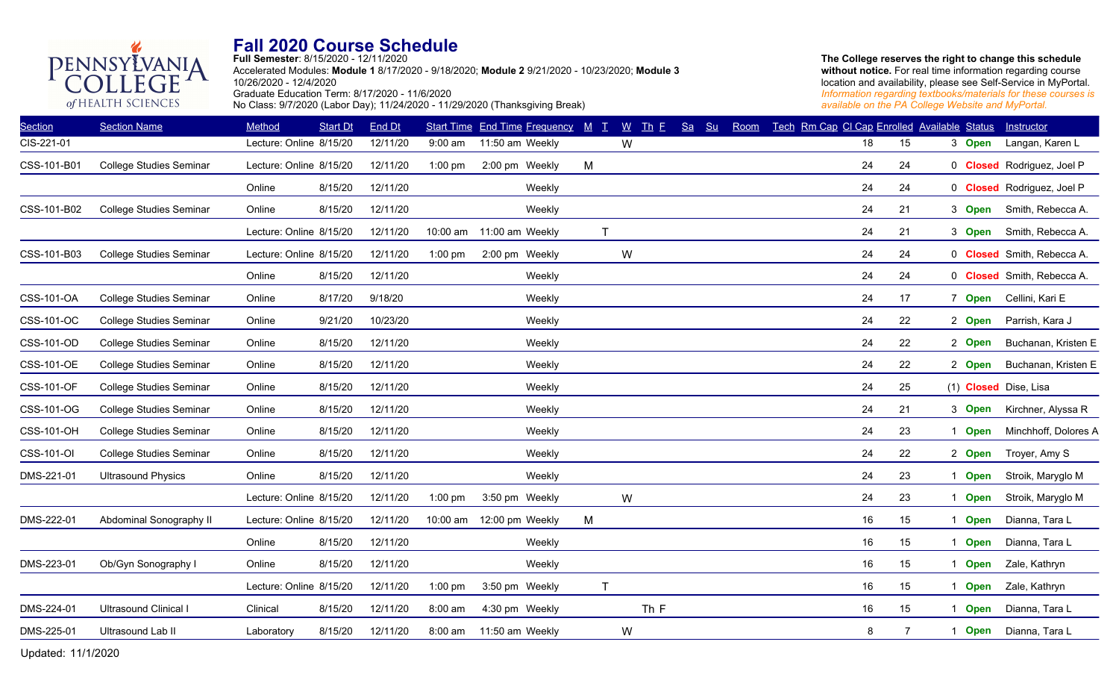**Full Semester**: 8/15/2020 - 12/11/2020 Accelerated Modules: **Module 1** 8/17/2020 - 9/18/2020; **Module 2** 9/21/2020 - 10/23/2020; **Module 3** 10/26/2020 - 12/4/2020 Graduate Education Term: 8/17/2020 - 11/6/2020

No Class: 9/7/2020 (Labor Day); 11/24/2020 - 11/29/2020 (Thanksgiving Break)

**The College reserves the right to change this schedule**  without notice. For real time information regarding course location and availability, please see Self-Service in MyPortal. *Information regarding textbooks/materials for these courses is available on the PA College Website and MyPortal.*

| <b>Section Name</b>            | Method     | <b>Start Dt</b> | End Dt                                                                                                                                                                                    |           |                 |              | $\underline{W}$                   | Sa                                             | Room           |    |                |                            | Instructor                                                                                                    |
|--------------------------------|------------|-----------------|-------------------------------------------------------------------------------------------------------------------------------------------------------------------------------------------|-----------|-----------------|--------------|-----------------------------------|------------------------------------------------|----------------|----|----------------|----------------------------|---------------------------------------------------------------------------------------------------------------|
|                                |            |                 | 12/11/20                                                                                                                                                                                  | $9:00$ am | 11:50 am Weekly |              | W                                 |                                                |                | 18 | 15             | 3 Open                     | Langan, Karen L                                                                                               |
| <b>College Studies Seminar</b> |            |                 | 12/11/20                                                                                                                                                                                  | $1:00$ pm | 2:00 pm Weekly  | M            |                                   |                                                |                | 24 | 24             |                            | 0 <b>Closed</b> Rodriguez, Joel P                                                                             |
|                                | Online     | 8/15/20         | 12/11/20                                                                                                                                                                                  |           | Weekly          |              |                                   |                                                |                | 24 | 24             |                            | 0 Closed Rodriguez, Joel P                                                                                    |
| <b>College Studies Seminar</b> | Online     | 8/15/20         | 12/11/20                                                                                                                                                                                  |           | Weekly          |              |                                   |                                                |                | 24 | 21             | 3 Open                     | Smith, Rebecca A.                                                                                             |
|                                |            |                 | 12/11/20                                                                                                                                                                                  | 10:00 am  | 11:00 am Weekly | $\mathsf{T}$ |                                   |                                                |                | 24 | 21             |                            | Smith, Rebecca A.                                                                                             |
| <b>College Studies Seminar</b> |            |                 | 12/11/20                                                                                                                                                                                  | $1:00$ pm | 2:00 pm Weekly  |              | W                                 |                                                |                | 24 | 24             |                            | 0 Closed Smith, Rebecca A.                                                                                    |
|                                | Online     | 8/15/20         | 12/11/20                                                                                                                                                                                  |           | Weekly          |              |                                   |                                                |                | 24 | 24             |                            | 0 Closed Smith, Rebecca A.                                                                                    |
| <b>College Studies Seminar</b> | Online     | 8/17/20         | 9/18/20                                                                                                                                                                                   |           | Weekly          |              |                                   |                                                |                | 24 | 17             |                            | Cellini, Kari E                                                                                               |
| <b>College Studies Seminar</b> | Online     | 9/21/20         | 10/23/20                                                                                                                                                                                  |           | Weekly          |              |                                   |                                                |                | 24 | 22             | 2 Open                     | Parrish, Kara J                                                                                               |
| <b>College Studies Seminar</b> | Online     | 8/15/20         | 12/11/20                                                                                                                                                                                  |           | Weekly          |              |                                   |                                                |                | 24 | 22             | 2 Open                     | Buchanan, Kristen E                                                                                           |
| <b>College Studies Seminar</b> | Online     | 8/15/20         | 12/11/20                                                                                                                                                                                  |           | Weekly          |              |                                   |                                                |                | 24 | 22             |                            | Buchanan, Kristen E                                                                                           |
| <b>College Studies Seminar</b> | Online     | 8/15/20         | 12/11/20                                                                                                                                                                                  |           | Weekly          |              |                                   |                                                |                | 24 | 25             |                            | (1) Closed Dise, Lisa                                                                                         |
| <b>College Studies Seminar</b> | Online     | 8/15/20         | 12/11/20                                                                                                                                                                                  |           | Weekly          |              |                                   |                                                |                | 24 | 21             |                            | Kirchner, Alyssa R                                                                                            |
| <b>College Studies Seminar</b> | Online     | 8/15/20         | 12/11/20                                                                                                                                                                                  |           | Weekly          |              |                                   |                                                |                | 24 | 23             | <b>Open</b>                | Minchhoff, Dolores A                                                                                          |
| <b>College Studies Seminar</b> | Online     | 8/15/20         | 12/11/20                                                                                                                                                                                  |           | Weekly          |              |                                   |                                                |                | 24 | 22             | 2 Open                     | Troyer, Amy S                                                                                                 |
| <b>Ultrasound Physics</b>      | Online     | 8/15/20         | 12/11/20                                                                                                                                                                                  |           | Weekly          |              |                                   |                                                |                | 24 | 23             | 1 Open                     | Stroik, Maryglo M                                                                                             |
|                                |            |                 | 12/11/20                                                                                                                                                                                  | $1:00$ pm | 3:50 pm Weekly  |              | W                                 |                                                |                | 24 | 23             | <b>Open</b>                | Stroik, Maryglo M                                                                                             |
| Abdominal Sonography II        |            |                 | 12/11/20                                                                                                                                                                                  | 10:00 am  | 12:00 pm Weekly | M            |                                   |                                                |                | 16 | 15             | 1 Open                     | Dianna, Tara L                                                                                                |
|                                | Online     | 8/15/20         | 12/11/20                                                                                                                                                                                  |           | Weekly          |              |                                   |                                                |                | 16 | 15             |                            | Dianna, Tara L                                                                                                |
| Ob/Gyn Sonography I            | Online     | 8/15/20         | 12/11/20                                                                                                                                                                                  |           | Weekly          |              |                                   |                                                |                | 16 | 15             | 1 Open                     | Zale, Kathryn                                                                                                 |
|                                |            |                 | 12/11/20                                                                                                                                                                                  | $1:00$ pm | 3:50 pm Weekly  | $\mathsf{T}$ |                                   |                                                |                | 16 | 15             | <b>Open</b><br>$\mathbf 1$ | Zale, Kathryn                                                                                                 |
| Ultrasound Clinical I          | Clinical   | 8/15/20         | 12/11/20                                                                                                                                                                                  | 8:00 am   | 4:30 pm Weekly  |              |                                   |                                                |                | 16 | 15             | 1 Open                     | Dianna, Tara L                                                                                                |
| Ultrasound Lab II              | Laboratory | 8/15/20         | 12/11/20                                                                                                                                                                                  | 8:00 am   | 11:50 am Weekly |              | W                                 |                                                |                | 8  | $\overline{7}$ |                            | Dianna, Tara L                                                                                                |
|                                |            |                 | Lecture: Online 8/15/20<br>Lecture: Online 8/15/20<br>Lecture: Online 8/15/20<br>Lecture: Online 8/15/20<br>Lecture: Online 8/15/20<br>Lecture: Online 8/15/20<br>Lecture: Online 8/15/20 |           |                 |              | Start Time End Time Frequency M T | $\mathbf{I}$ $\mathbf{h}$ $\mathbf{F}$<br>Th F | S <sub>u</sub> |    |                |                            | Tech Rm Cap CI Cap Enrolled Available Status<br>3 Open<br>7 Open<br>2 Open<br>3 Open<br>1 Open<br><b>Open</b> |

Updated: 11/1/2020 4

PENNSYLVANIA

of HEALTH SCIENCES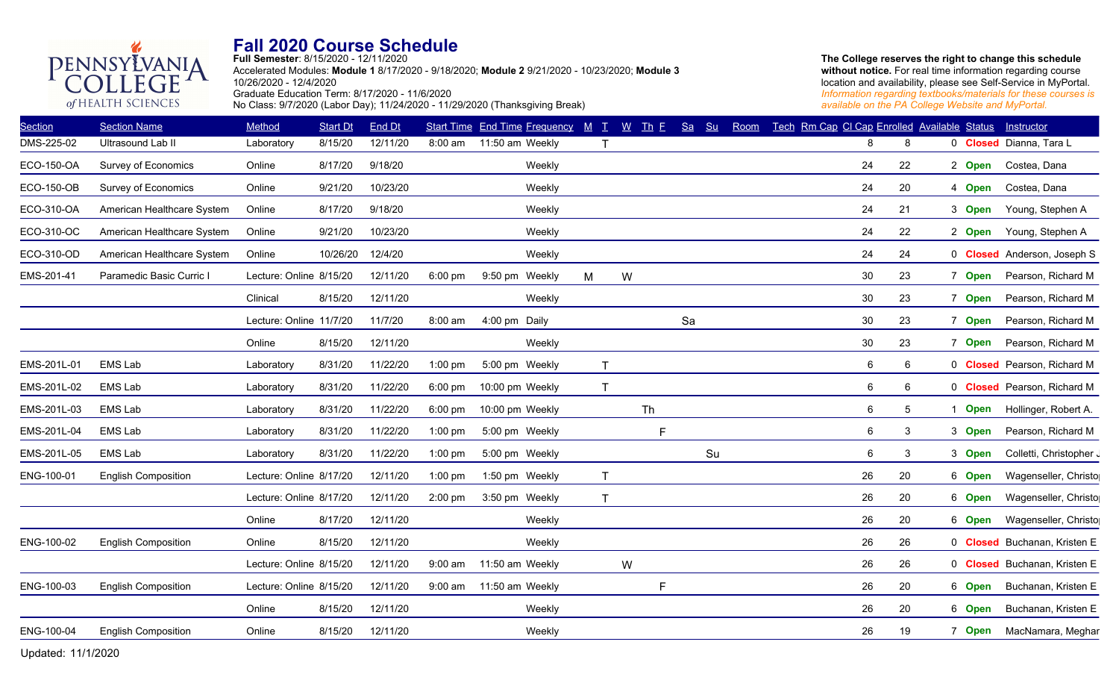**Full Semester**: 8/15/2020 - 12/11/2020 Accelerated Modules: **Module 1** 8/17/2020 - 9/18/2020; **Module 2** 9/21/2020 - 10/23/2020; **Module 3** 10/26/2020 - 12/4/2020 Graduate Education Term: 8/17/2020 - 11/6/2020 No Class: 9/7/2020 (Labor Day); 11/24/2020 - 11/29/2020 (Thanksgiving Break)

**The College reserves the right to change this schedule**  without notice. For real time information regarding course location and availability, please see Self-Service in MyPortal. *Information regarding textbooks/materials for these courses is available on the PA College Website and MyPortal.*

| <b>Section</b>    | <b>Section Name</b>        | Method                  | <b>Start Dt</b> | End Dt   |                   | <b>Start Time End Time Frequency</b> |   | $M$ $T$      | $\underline{W}$<br>$\mathbf{I}$ <sub>h</sub> $\mathbf{E}$ | Sa | Su | Room | Tech Rm Cap CI Cap Enrolled Available Status |    |             | Instructor                   |
|-------------------|----------------------------|-------------------------|-----------------|----------|-------------------|--------------------------------------|---|--------------|-----------------------------------------------------------|----|----|------|----------------------------------------------|----|-------------|------------------------------|
| DMS-225-02        | Ultrasound Lab II          | Laboratory              | 8/15/20         | 12/11/20 | 8:00 am           | 11:50 am Weekly                      |   | $\mathsf{T}$ |                                                           |    |    |      | 8                                            | 8  |             | 0 Closed Dianna, Tara L      |
| ECO-150-OA        | Survey of Economics        | Online                  | 8/17/20         | 9/18/20  |                   | Weekly                               |   |              |                                                           |    |    |      | 24                                           | 22 | 2 Open      | Costea, Dana                 |
| <b>ECO-150-OB</b> | Survey of Economics        | Online                  | 9/21/20         | 10/23/20 |                   | Weekly                               |   |              |                                                           |    |    |      | 24                                           | 20 | 4 Open      | Costea, Dana                 |
| ECO-310-OA        | American Healthcare System | Online                  | 8/17/20         | 9/18/20  |                   | Weekly                               |   |              |                                                           |    |    |      | 24                                           | 21 | 3 Open      | Young, Stephen A             |
| ECO-310-OC        | American Healthcare System | Online                  | 9/21/20         | 10/23/20 |                   | Weekly                               |   |              |                                                           |    |    |      | 24                                           | 22 | 2 Open      | Young, Stephen A             |
| ECO-310-OD        | American Healthcare System | Online                  | 10/26/20        | 12/4/20  |                   | Weekly                               |   |              |                                                           |    |    |      | 24                                           | 24 |             | 0 Closed Anderson, Joseph S  |
| EMS-201-41        | Paramedic Basic Curric I   | Lecture: Online 8/15/20 |                 | 12/11/20 | $6:00 \text{ pm}$ | 9:50 pm Weekly                       | M |              | W                                                         |    |    |      | 30                                           | 23 | 7 Open      | Pearson, Richard M           |
|                   |                            | Clinical                | 8/15/20         | 12/11/20 |                   | Weekly                               |   |              |                                                           |    |    |      | 30                                           | 23 | 7 Open      | Pearson, Richard M           |
|                   |                            | Lecture: Online 11/7/20 |                 | 11/7/20  | 8:00 am           | 4:00 pm Daily                        |   |              |                                                           | Sa |    |      | 30                                           | 23 | 7 Open      | Pearson, Richard M           |
|                   |                            | Online                  | 8/15/20         | 12/11/20 |                   | Weekly                               |   |              |                                                           |    |    |      | 30                                           | 23 | 7 Open      | Pearson, Richard M           |
| EMS-201L-01       | <b>EMS Lab</b>             | Laboratory              | 8/31/20         | 11/22/20 | $1:00$ pm         | 5:00 pm Weekly                       |   | $\mathsf{T}$ |                                                           |    |    |      | 6                                            | 6  |             | 0 Closed Pearson, Richard M  |
| EMS-201L-02       | <b>EMS Lab</b>             | Laboratory              | 8/31/20         | 11/22/20 | $6:00 \text{ pm}$ | 10:00 pm Weekly                      |   | T            |                                                           |    |    |      | $\,6\,$                                      | 6  |             | 0 Closed Pearson, Richard M  |
| EMS-201L-03       | <b>EMS Lab</b>             | Laboratory              | 8/31/20         | 11/22/20 | $6:00$ pm         | 10:00 pm Weekly                      |   |              | Th                                                        |    |    |      | 6                                            | 5  | <b>Open</b> | Hollinger, Robert A.         |
| EMS-201L-04       | <b>EMS Lab</b>             | Laboratory              | 8/31/20         | 11/22/20 | $1:00$ pm         | 5:00 pm Weekly                       |   |              | $\mathsf{F}$                                              |    |    |      | 6                                            | 3  | 3 Open      | Pearson, Richard M           |
| EMS-201L-05       | EMS Lab                    | Laboratory              | 8/31/20         | 11/22/20 | $1:00$ pm         | 5:00 pm Weekly                       |   |              |                                                           |    | Su |      | $\,6$                                        | 3  | 3 Open      | Colletti, Christopher J      |
| ENG-100-01        | <b>English Composition</b> | Lecture: Online 8/17/20 |                 | 12/11/20 | $1:00$ pm         | 1:50 pm Weekly                       |   | $\mathsf T$  |                                                           |    |    |      | 26                                           | 20 | 6 Open      | Wagenseller, Christo         |
|                   |                            | Lecture: Online 8/17/20 |                 | 12/11/20 | $2:00$ pm         | 3:50 pm Weekly                       |   | $\mathsf{T}$ |                                                           |    |    |      | 26                                           | 20 | 6 Open      | Wagenseller, Christo         |
|                   |                            | Online                  | 8/17/20         | 12/11/20 |                   | Weekly                               |   |              |                                                           |    |    |      | 26                                           | 20 | 6 Open      | Wagenseller, Christo         |
| ENG-100-02        | <b>English Composition</b> | Online                  | 8/15/20         | 12/11/20 |                   | Weekly                               |   |              |                                                           |    |    |      | 26                                           | 26 |             | 0 Closed Buchanan, Kristen E |
|                   |                            | Lecture: Online 8/15/20 |                 | 12/11/20 |                   | 9:00 am 11:50 am Weekly              |   |              | W                                                         |    |    |      | 26                                           | 26 |             | 0 Closed Buchanan, Kristen E |
| ENG-100-03        | <b>English Composition</b> | Lecture: Online 8/15/20 |                 | 12/11/20 | $9:00$ am         | 11:50 am Weekly                      |   |              | F                                                         |    |    |      | 26                                           | 20 | 6 Open      | Buchanan, Kristen E          |
|                   |                            | Online                  | 8/15/20         | 12/11/20 |                   | Weekly                               |   |              |                                                           |    |    |      | 26                                           | 20 | 6 Open      | Buchanan, Kristen E          |
| ENG-100-04        | <b>English Composition</b> | Online                  | 8/15/20         | 12/11/20 |                   | Weekly                               |   |              |                                                           |    |    |      | 26                                           | 19 | 7 Open      | MacNamara, Meghar            |
|                   |                            |                         |                 |          |                   |                                      |   |              |                                                           |    |    |      |                                              |    |             |                              |

Updated: 11/1/2020 5

PENNSYLVANIA

of HEALTH SCIENCES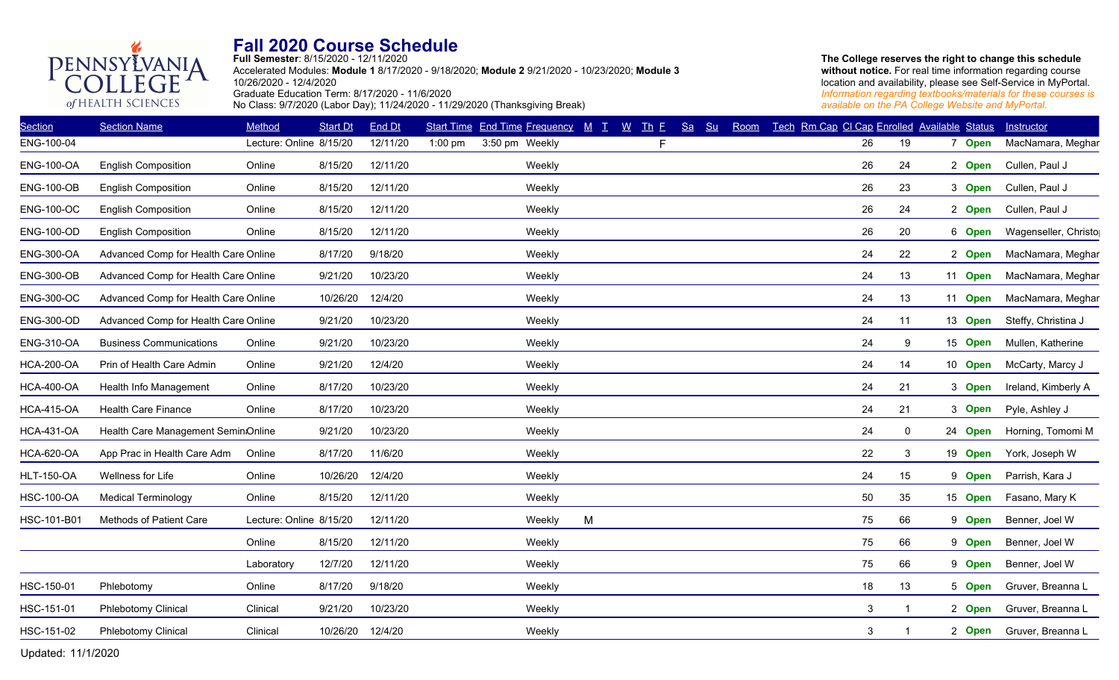## PENNSYLVANIA **Fall 2020 Course Schedule Full Semester**: 8/15/2020 - 12/11/2020

Accelerated Modules: **Module 1** 8/17/2020 - 9/18/2020; **Module 2** 9/21/2020 - 10/23/2020; **Module 3** 10/26/2020 - 12/4/2020 Graduate Education Term: 8/17/2020 - 11/6/2020 No Class: 9/7/2020 (Labor Day); 11/24/2020 - 11/29/2020 (Thanksgiving Break)

**The College reserves the right to change this schedule without notice.** For real time information regarding course location and availability, please see Self-Service in MyPortal. *Information regarding textbooks/materials for these courses is available on the PA College Website and MyPortal.*

| <b>Section</b>    | <b>Section Name</b>                  | Method                  | <b>Start Dt</b> | <b>End Dt</b> |           | Start Time End Time Frequency M T |        |   | $W$ Th E | Sa<br>S <sub>u</sub> | Room |  | Tech Rm Cap CI Cap Enrolled Available Status |              |         | Instructor           |
|-------------------|--------------------------------------|-------------------------|-----------------|---------------|-----------|-----------------------------------|--------|---|----------|----------------------|------|--|----------------------------------------------|--------------|---------|----------------------|
| ENG-100-04        |                                      | Lecture: Online 8/15/20 |                 | 12/11/20      | $1:00$ pm | 3:50 pm Weekly                    |        |   | F.       |                      |      |  | 26                                           | 19           | 7 Open  | MacNamara, Meghar    |
| <b>ENG-100-OA</b> | <b>English Composition</b>           | Online                  | 8/15/20         | 12/11/20      |           |                                   | Weekly |   |          |                      |      |  | 26                                           | 24           | 2 Open  | Cullen, Paul J       |
| <b>ENG-100-OB</b> | <b>English Composition</b>           | Online                  | 8/15/20         | 12/11/20      |           |                                   | Weekly |   |          |                      |      |  | 26                                           | 23           | 3 Open  | Cullen, Paul J       |
| <b>ENG-100-OC</b> | <b>English Composition</b>           | Online                  | 8/15/20         | 12/11/20      |           |                                   | Weekly |   |          |                      |      |  | 26                                           | 24           | 2 Open  | Cullen, Paul J       |
| <b>ENG-100-OD</b> | <b>English Composition</b>           | Online                  | 8/15/20         | 12/11/20      |           |                                   | Weekly |   |          |                      |      |  | 26                                           | 20           | 6 Open  | Wagenseller, Christo |
| <b>ENG-300-OA</b> | Advanced Comp for Health Care Online |                         | 8/17/20         | 9/18/20       |           |                                   | Weekly |   |          |                      |      |  | 24                                           | 22           | 2 Open  | MacNamara, Meghar    |
| <b>ENG-300-OB</b> | Advanced Comp for Health Care Online |                         | 9/21/20         | 10/23/20      |           |                                   | Weekly |   |          |                      |      |  | 24                                           | 13           | 11 Open | MacNamara, Meghar    |
| <b>ENG-300-OC</b> | Advanced Comp for Health Care Online |                         | 10/26/20        | 12/4/20       |           |                                   | Weekly |   |          |                      |      |  | 24                                           | 13           | 11 Open | MacNamara, Meghar    |
| <b>ENG-300-OD</b> | Advanced Comp for Health Care Online |                         | 9/21/20         | 10/23/20      |           |                                   | Weekly |   |          |                      |      |  | 24                                           | 11           | 13 Open | Steffy, Christina J  |
| <b>ENG-310-OA</b> | <b>Business Communications</b>       | Online                  | 9/21/20         | 10/23/20      |           |                                   | Weekly |   |          |                      |      |  | 24                                           | 9            | 15 Open | Mullen, Katherine    |
| <b>HCA-200-OA</b> | Prin of Health Care Admin            | Online                  | 9/21/20         | 12/4/20       |           |                                   | Weekly |   |          |                      |      |  | 24                                           | 14           | 10 Open | McCarty, Marcy J     |
| <b>HCA-400-OA</b> | Health Info Management               | Online                  | 8/17/20         | 10/23/20      |           |                                   | Weekly |   |          |                      |      |  | 24                                           | 21           | 3 Open  | Ireland, Kimberly A  |
| <b>HCA-415-OA</b> | <b>Health Care Finance</b>           | Online                  | 8/17/20         | 10/23/20      |           |                                   | Weekly |   |          |                      |      |  | 24                                           | 21           | 3 Open  | Pyle, Ashley J       |
| <b>HCA-431-OA</b> | Health Care Management Semin:Online  |                         | 9/21/20         | 10/23/20      |           |                                   | Weekly |   |          |                      |      |  | 24                                           | $\mathbf 0$  | 24 Open | Horning, Tomomi M    |
| <b>HCA-620-OA</b> | App Prac in Health Care Adm          | Online                  | 8/17/20         | 11/6/20       |           |                                   | Weekly |   |          |                      |      |  | 22                                           | $\mathbf{3}$ | 19 Open | York, Joseph W       |
| <b>HLT-150-OA</b> | Wellness for Life                    | Online                  | 10/26/20        | 12/4/20       |           |                                   | Weekly |   |          |                      |      |  | 24                                           | 15           | 9 Open  | Parrish, Kara J      |
| <b>HSC-100-OA</b> | <b>Medical Terminology</b>           | Online                  | 8/15/20         | 12/11/20      |           |                                   | Weekly |   |          |                      |      |  | 50                                           | 35           | 15 Open | Fasano, Mary K       |
| HSC-101-B01       | Methods of Patient Care              | Lecture: Online 8/15/20 |                 | 12/11/20      |           |                                   | Weekly | M |          |                      |      |  | 75                                           | 66           | 9 Open  | Benner, Joel W       |
|                   |                                      | Online                  | 8/15/20         | 12/11/20      |           |                                   | Weekly |   |          |                      |      |  | 75                                           | 66           | 9 Open  | Benner, Joel W       |
|                   |                                      | Laboratory              | 12/7/20         | 12/11/20      |           |                                   | Weekly |   |          |                      |      |  | 75                                           | 66           | 9 Open  | Benner, Joel W       |
| HSC-150-01        | Phlebotomy                           | Online                  | 8/17/20         | 9/18/20       |           |                                   | Weekly |   |          |                      |      |  | 18                                           | 13           | 5 Open  | Gruver, Breanna L    |
| HSC-151-01        | <b>Phlebotomy Clinical</b>           | Clinical                | 9/21/20         | 10/23/20      |           |                                   | Weekly |   |          |                      |      |  | 3                                            |              | 2 Open  | Gruver, Breanna L    |
| HSC-151-02        | Phlebotomy Clinical                  | Clinical                | 10/26/20        | 12/4/20       |           |                                   | Weekly |   |          |                      |      |  | 3                                            |              | 2 Open  | Gruver, Breanna L    |
|                   |                                      |                         |                 |               |           |                                   |        |   |          |                      |      |  |                                              |              |         |                      |

Updated: 11/1/2020 6

of HEALTH SCIENCES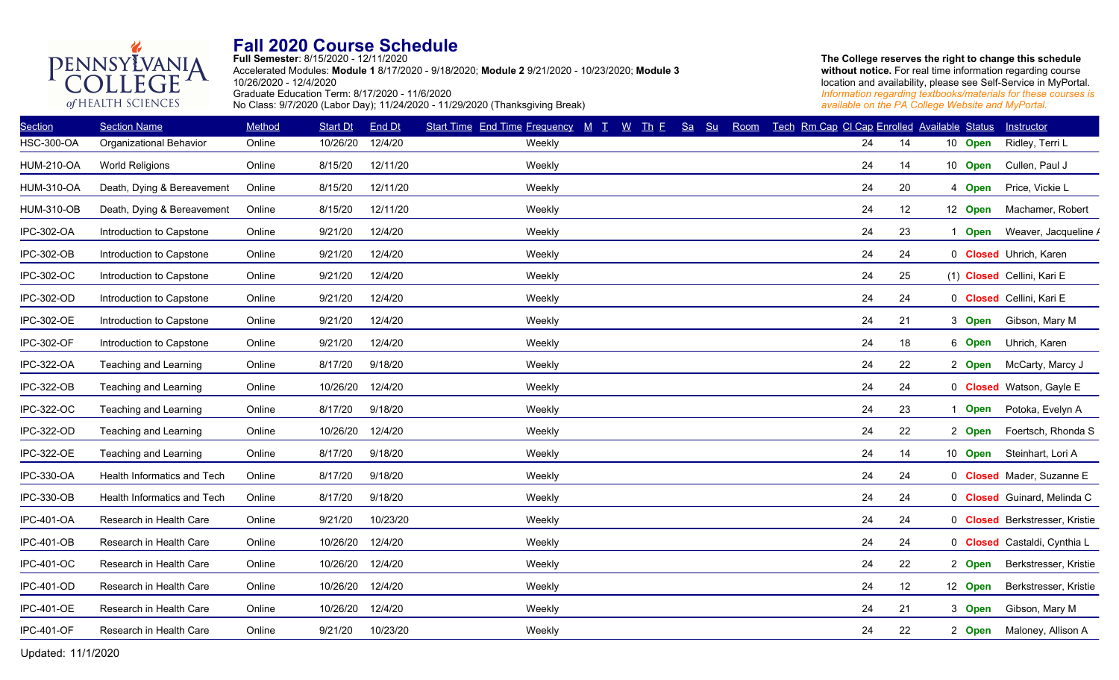

**Full Semester**: 8/15/2020 - 12/11/2020 Accelerated Modules: **Module 1** 8/17/2020 - 9/18/2020; **Module 2** 9/21/2020 - 10/23/2020; **Module 3** 10/26/2020 - 12/4/2020 Graduate Education Term: 8/17/2020 - 11/6/2020 No Class: 9/7/2020 (Labor Day); 11/24/2020 - 11/29/2020 (Thanksgiving Break)

**The College reserves the right to change this schedule**  without notice. For real time information regarding course location and availability, please see Self-Service in MyPortal. *Information regarding textbooks/materials for these courses is available on the PA College Website and MyPortal.*

| <b>Section</b>    | <b>Section Name</b>         | Method | <b>Start Dt</b> | End Dt   | $W$ Th $E$<br>Start Time End Time Frequency M T | Sa<br>Su | Room | Tech Rm Cap CI Cap Enrolled Available Status |    |         | Instructor                            |
|-------------------|-----------------------------|--------|-----------------|----------|-------------------------------------------------|----------|------|----------------------------------------------|----|---------|---------------------------------------|
| <b>HSC-300-OA</b> | Organizational Behavior     | Online | 10/26/20        | 12/4/20  | Weekly                                          |          |      | 24                                           | 14 | 10 Open | Ridley, Terri L                       |
| <b>HUM-210-OA</b> | <b>World Religions</b>      | Online | 8/15/20         | 12/11/20 | Weekly                                          |          |      | 24                                           | 14 | 10 Open | Cullen, Paul J                        |
| <b>HUM-310-OA</b> | Death, Dying & Bereavement  | Online | 8/15/20         | 12/11/20 | Weekly                                          |          |      | 24                                           | 20 | 4 Open  | Price, Vickie L                       |
| <b>HUM-310-OB</b> | Death, Dying & Bereavement  | Online | 8/15/20         | 12/11/20 | Weekly                                          |          |      | 24                                           | 12 | 12 Open | Machamer, Robert                      |
| IPC-302-OA        | Introduction to Capstone    | Online | 9/21/20         | 12/4/20  | Weekly                                          |          |      | 24                                           | 23 | 1 Open  | Weaver, Jacqueline /                  |
| IPC-302-OB        | Introduction to Capstone    | Online | 9/21/20         | 12/4/20  | Weekly                                          |          |      | 24                                           | 24 |         | 0 <b>Closed</b> Uhrich, Karen         |
| IPC-302-OC        | Introduction to Capstone    | Online | 9/21/20         | 12/4/20  | Weekly                                          |          |      | 24                                           | 25 |         | (1) Closed Cellini, Kari E            |
| IPC-302-OD        | Introduction to Capstone    | Online | 9/21/20         | 12/4/20  | Weekly                                          |          |      | 24                                           | 24 |         | 0 Closed Cellini, Kari E              |
| IPC-302-OE        | Introduction to Capstone    | Online | 9/21/20         | 12/4/20  | Weekly                                          |          |      | 24                                           | 21 | 3 Open  | Gibson, Mary M                        |
| <b>IPC-302-OF</b> | Introduction to Capstone    | Online | 9/21/20         | 12/4/20  | Weekly                                          |          |      | 24                                           | 18 | 6 Open  | Uhrich, Karen                         |
| IPC-322-OA        | Teaching and Learning       | Online | 8/17/20         | 9/18/20  | Weekly                                          |          |      | 24                                           | 22 | 2 Open  | McCarty, Marcy J                      |
| <b>IPC-322-OB</b> | Teaching and Learning       | Online | 10/26/20        | 12/4/20  | Weekly                                          |          |      | 24                                           | 24 |         | 0 Closed Watson, Gayle E              |
| IPC-322-OC        | Teaching and Learning       | Online | 8/17/20         | 9/18/20  | Weekly                                          |          |      | 24                                           | 23 | 1 Open  | Potoka, Evelyn A                      |
| IPC-322-OD        | Teaching and Learning       | Online | 10/26/20        | 12/4/20  | Weekly                                          |          |      | 24                                           | 22 | 2 Open  | Foertsch, Rhonda S                    |
| <b>IPC-322-OE</b> | Teaching and Learning       | Online | 8/17/20         | 9/18/20  | Weekly                                          |          |      | 24                                           | 14 | 10 Open | Steinhart, Lori A                     |
| IPC-330-OA        | Health Informatics and Tech | Online | 8/17/20         | 9/18/20  | Weekly                                          |          |      | 24                                           | 24 |         | 0 <b>Closed</b> Mader, Suzanne E      |
| IPC-330-OB        | Health Informatics and Tech | Online | 8/17/20         | 9/18/20  | Weekly                                          |          |      | 24                                           | 24 |         | 0 Closed Guinard, Melinda C           |
| <b>IPC-401-OA</b> | Research in Health Care     | Online | 9/21/20         | 10/23/20 | Weekly                                          |          |      | 24                                           | 24 |         | 0 <b>Closed</b> Berkstresser, Kristie |
| <b>IPC-401-OB</b> | Research in Health Care     | Online | 10/26/20        | 12/4/20  | Weekly                                          |          |      | 24                                           | 24 |         | 0 Closed Castaldi, Cynthia L          |
| <b>IPC-401-OC</b> | Research in Health Care     | Online | 10/26/20        | 12/4/20  | Weekly                                          |          |      | 24                                           | 22 | 2 Open  | Berkstresser, Kristie                 |
| <b>IPC-401-OD</b> | Research in Health Care     | Online | 10/26/20        | 12/4/20  | Weekly                                          |          |      | 24                                           | 12 | 12 Open | Berkstresser, Kristie                 |
| <b>IPC-401-OE</b> | Research in Health Care     | Online | 10/26/20        | 12/4/20  | Weekly                                          |          |      | 24                                           | 21 | 3 Open  | Gibson, Mary M                        |
| <b>IPC-401-OF</b> | Research in Health Care     | Online | 9/21/20         | 10/23/20 | Weekly                                          |          |      | 24                                           | 22 |         | 2 Open Maloney, Allison A             |
|                   |                             |        |                 |          |                                                 |          |      |                                              |    |         |                                       |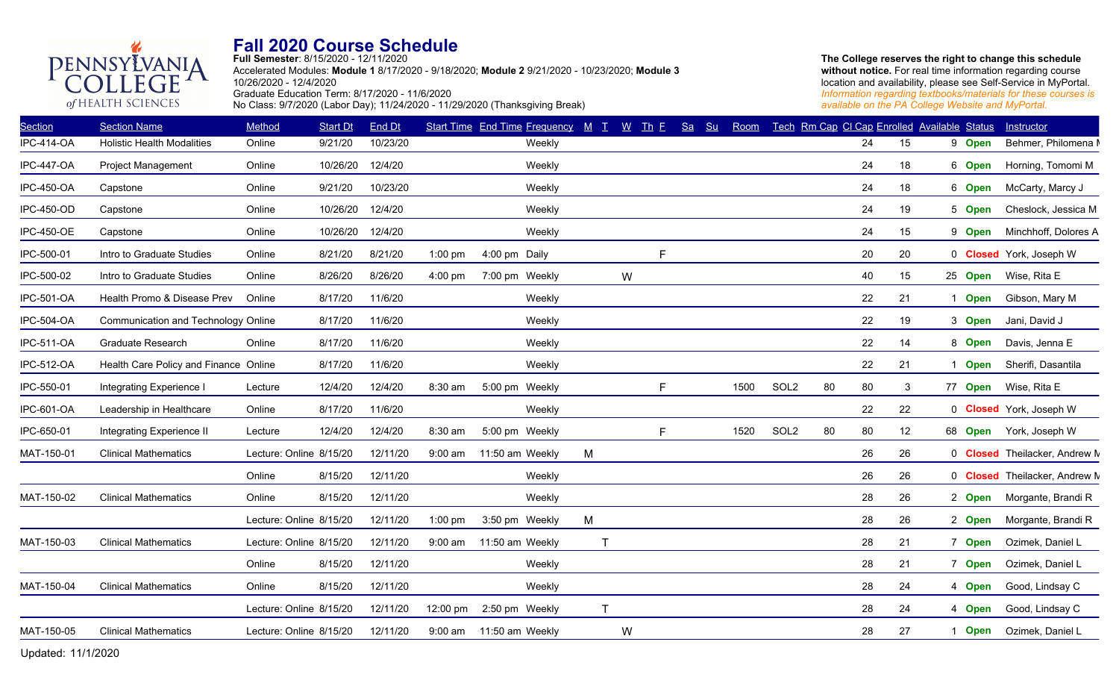

**Full Semester**: 8/15/2020 - 12/11/2020 Accelerated Modules: **Module 1** 8/17/2020 - 9/18/2020; **Module 2** 9/21/2020 - 10/23/2020; **Module 3** 10/26/2020 - 12/4/2020 Graduate Education Term: 8/17/2020 - 11/6/2020 No Class: 9/7/2020 (Labor Day); 11/24/2020 - 11/29/2020 (Thanksgiving Break)

**The College reserves the right to change this schedule**  without notice. For real time information regarding course location and availability, please see Self-Service in MyPortal. *Information regarding textbooks/materials for these courses is available on the PA College Website and MyPortal.*

| <b>Section</b>    | <b>Section Name</b>                   | Method                  | <b>Start Dt</b>  | End Dt   |                    | Start Time End Time Frequency $M$ $I$ $W$ Th $E$ |   |              |    | Sa | Su | Room |                  |    |    | Tech Rm Cap CI Cap Enrolled Available Status |                | Instructor                           |
|-------------------|---------------------------------------|-------------------------|------------------|----------|--------------------|--------------------------------------------------|---|--------------|----|----|----|------|------------------|----|----|----------------------------------------------|----------------|--------------------------------------|
| <b>IPC-414-OA</b> | <b>Holistic Health Modalities</b>     | Online                  | 9/21/20          | 10/23/20 |                    | Weekly                                           |   |              |    |    |    |      |                  |    | 24 | 15                                           | 9 Open         | Behmer, Philomena M                  |
| <b>IPC-447-OA</b> | <b>Project Management</b>             | Online                  | 10/26/20         | 12/4/20  |                    | Weekly                                           |   |              |    |    |    |      |                  |    | 24 | 18                                           | 6 Open         | Horning, Tomomi M                    |
| <b>IPC-450-OA</b> | Capstone                              | Online                  | 9/21/20          | 10/23/20 |                    | Weekly                                           |   |              |    |    |    |      |                  |    | 24 | 18                                           | 6 Open         | McCarty, Marcy J                     |
| <b>IPC-450-OD</b> | Capstone                              | Online                  | 10/26/20 12/4/20 |          |                    | Weekly                                           |   |              |    |    |    |      |                  |    | 24 | 19                                           | 5 Open         | Cheslock, Jessica M                  |
| <b>IPC-450-OE</b> | Capstone                              | Online                  | 10/26/20         | 12/4/20  |                    | Weekly                                           |   |              |    |    |    |      |                  |    | 24 | 15                                           | 9 Open         | Minchhoff, Dolores A                 |
| IPC-500-01        | Intro to Graduate Studies             | Online                  | 8/21/20          | 8/21/20  | $1:00$ pm          | 4:00 pm Daily                                    |   |              | F  |    |    |      |                  |    | 20 | 20                                           |                | 0 <b>Closed</b> York, Joseph W       |
| IPC-500-02        | Intro to Graduate Studies             | Online                  | 8/26/20          | 8/26/20  | $4:00 \text{ pm}$  | 7:00 pm Weekly                                   |   | W            |    |    |    |      |                  |    | 40 | 15                                           | 25 Open        | Wise, Rita E                         |
| IPC-501-OA        | Health Promo & Disease Prev           | Online                  | 8/17/20          | 11/6/20  |                    | Weekly                                           |   |              |    |    |    |      |                  |    | 22 | 21                                           | 1 Open         | Gibson, Mary M                       |
| <b>IPC-504-OA</b> | Communication and Technology Online   |                         | 8/17/20          | 11/6/20  |                    | Weekly                                           |   |              |    |    |    |      |                  |    | 22 | 19                                           | 3 Open         | Jani, David J                        |
| <b>IPC-511-OA</b> | <b>Graduate Research</b>              | Online                  | 8/17/20          | 11/6/20  |                    | Weekly                                           |   |              |    |    |    |      |                  |    | 22 | 14                                           | 8 Open         | Davis, Jenna E                       |
| <b>IPC-512-OA</b> | Health Care Policy and Finance Online |                         | 8/17/20          | 11/6/20  |                    | Weekly                                           |   |              |    |    |    |      |                  |    | 22 | 21                                           | <b>Open</b>    | Sherifi, Dasantila                   |
| IPC-550-01        | Integrating Experience I              | Lecture                 | 12/4/20          | 12/4/20  | 8:30 am            | 5:00 pm Weekly                                   |   |              | F. |    |    | 1500 | SOL <sub>2</sub> | 80 | 80 | 3                                            | 77 Open        | Wise, Rita E                         |
| IPC-601-OA        | Leadership in Healthcare              | Online                  | 8/17/20          | 11/6/20  |                    | Weekly                                           |   |              |    |    |    |      |                  |    | 22 | 22                                           |                | 0 Closed York, Joseph W              |
| IPC-650-01        | Integrating Experience II             | Lecture                 | 12/4/20          | 12/4/20  | 8:30 am            | 5:00 pm Weekly                                   |   |              | F. |    |    | 1520 | SOL <sub>2</sub> | 80 | 80 | 12                                           | 68 <b>Open</b> | York, Joseph W                       |
| MAT-150-01        | <b>Clinical Mathematics</b>           | Lecture: Online 8/15/20 |                  | 12/11/20 | $9:00$ am          | 11:50 am Weekly                                  | M |              |    |    |    |      |                  |    | 26 | 26                                           |                | 0 <b>Closed</b> Theilacker, Andrew M |
|                   |                                       | Online                  | 8/15/20          | 12/11/20 |                    | Weekly                                           |   |              |    |    |    |      |                  |    | 26 | 26                                           |                | 0 <b>Closed</b> Theilacker, Andrew M |
| MAT-150-02        | <b>Clinical Mathematics</b>           | Online                  | 8/15/20          | 12/11/20 |                    | Weekly                                           |   |              |    |    |    |      |                  |    | 28 | 26                                           | 2 Open         | Morgante, Brandi R                   |
|                   |                                       | Lecture: Online 8/15/20 |                  | 12/11/20 | $1:00$ pm          | 3:50 pm Weekly                                   | М |              |    |    |    |      |                  |    | 28 | 26                                           | 2 Open         | Morgante, Brandi R                   |
| MAT-150-03        | <b>Clinical Mathematics</b>           | Lecture: Online 8/15/20 |                  | 12/11/20 | $9:00$ am          | 11:50 am Weekly                                  |   | $\mathsf T$  |    |    |    |      |                  |    | 28 | 21                                           | 7 Open         | Ozimek, Daniel L                     |
|                   |                                       | Online                  | 8/15/20          | 12/11/20 |                    | Weekly                                           |   |              |    |    |    |      |                  |    | 28 | 21                                           | 7 Open         | Ozimek, Daniel L                     |
| MAT-150-04        | <b>Clinical Mathematics</b>           | Online                  | 8/15/20          | 12/11/20 |                    | Weekly                                           |   |              |    |    |    |      |                  |    | 28 | 24                                           | 4 Open         | Good, Lindsay C                      |
|                   |                                       | Lecture: Online 8/15/20 |                  | 12/11/20 | $12:00 \text{ pm}$ | 2:50 pm Weekly                                   |   | $\mathsf{T}$ |    |    |    |      |                  |    | 28 | 24                                           | 4 Open         | Good, Lindsay C                      |
| MAT-150-05        | <b>Clinical Mathematics</b>           | Lecture: Online 8/15/20 |                  | 12/11/20 |                    | 9:00 am 11:50 am Weekly                          |   | W            |    |    |    |      |                  |    | 28 | 27                                           | 1 Open         | Ozimek, Daniel L                     |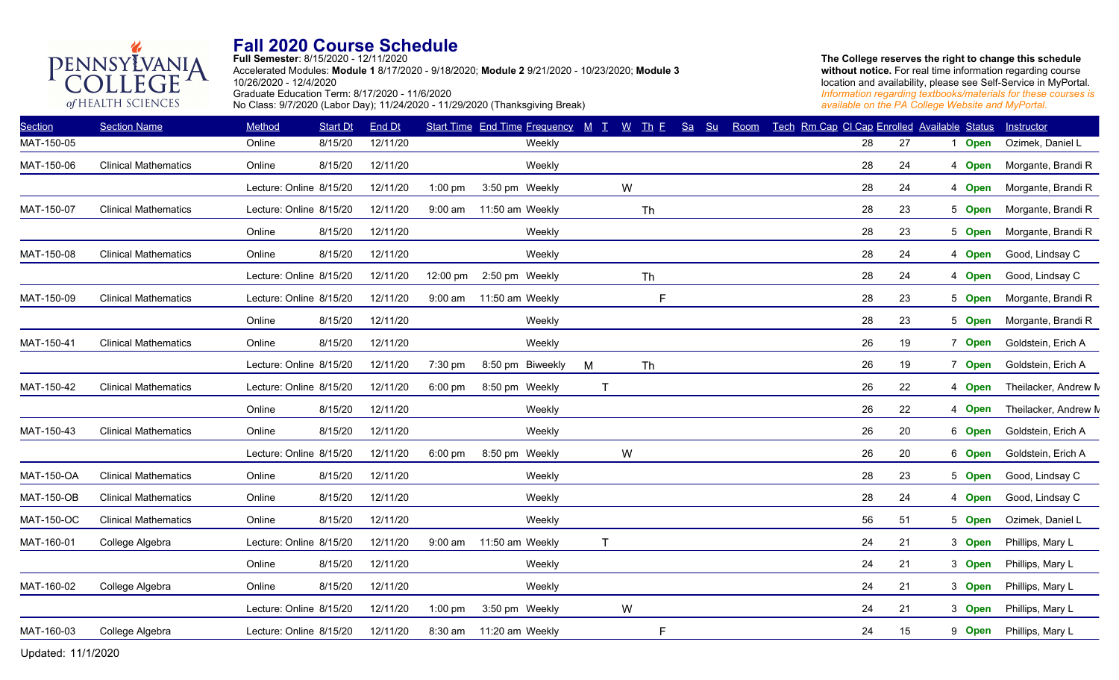**Full Semester**: 8/15/2020 - 12/11/2020 Accelerated Modules: **Module 1** 8/17/2020 - 9/18/2020; **Module 2** 9/21/2020 - 10/23/2020; **Module 3** 10/26/2020 - 12/4/2020 Graduate Education Term: 8/17/2020 - 11/6/2020 No Class: 9/7/2020 (Labor Day); 11/24/2020 - 11/29/2020 (Thanksgiving Break)

**The College reserves the right to change this schedule**  without notice. For real time information regarding course location and availability, please see Self-Service in MyPortal. *Information regarding textbooks/materials for these courses is available on the PA College Website and MyPortal.*

| <b>Section</b>    | <b>Section Name</b>         | Method                  | <b>Start Dt</b> | End Dt   |                   | Start Time End Time Frequency M T |              | $W$ Th $E$ | Sa<br>S <sub>u</sub> | Room | Tech Rm Cap CI Cap Enrolled Available Status |    |             | Instructor           |
|-------------------|-----------------------------|-------------------------|-----------------|----------|-------------------|-----------------------------------|--------------|------------|----------------------|------|----------------------------------------------|----|-------------|----------------------|
| MAT-150-05        |                             | Online                  | 8/15/20         | 12/11/20 |                   | Weekly                            |              |            |                      |      | 28                                           | 27 | <b>Open</b> | Ozimek, Daniel L     |
| MAT-150-06        | <b>Clinical Mathematics</b> | Online                  | 8/15/20         | 12/11/20 |                   | Weekly                            |              |            |                      |      | 28                                           | 24 | 4 Open      | Morgante, Brandi R   |
|                   |                             | Lecture: Online 8/15/20 |                 | 12/11/20 | $1:00$ pm         | 3:50 pm Weekly                    |              | W          |                      |      | 28                                           | 24 | 4 Open      | Morgante, Brandi R   |
| MAT-150-07        | <b>Clinical Mathematics</b> | Lecture: Online 8/15/20 |                 | 12/11/20 | $9:00$ am         | 11:50 am Weekly                   |              | Th         |                      |      | 28                                           | 23 | 5 Open      | Morgante, Brandi R   |
|                   |                             | Online                  | 8/15/20         | 12/11/20 |                   | Weekly                            |              |            |                      |      | 28                                           | 23 | 5 Open      | Morgante, Brandi R   |
| MAT-150-08        | <b>Clinical Mathematics</b> | Online                  | 8/15/20         | 12/11/20 |                   | Weekly                            |              |            |                      |      | 28                                           | 24 | 4 Open      | Good, Lindsay C      |
|                   |                             | Lecture: Online 8/15/20 |                 | 12/11/20 | $12:00$ pm        | 2:50 pm Weekly                    |              | Th         |                      |      | 28                                           | 24 | 4 Open      | Good, Lindsay C      |
| MAT-150-09        | <b>Clinical Mathematics</b> | Lecture: Online 8/15/20 |                 | 12/11/20 | $9:00$ am         | 11:50 am Weekly                   |              | F          |                      |      | 28                                           | 23 | 5 Open      | Morgante, Brandi R   |
|                   |                             | Online                  | 8/15/20         | 12/11/20 |                   | Weekly                            |              |            |                      |      | 28                                           | 23 | 5 Open      | Morgante, Brandi R   |
| MAT-150-41        | <b>Clinical Mathematics</b> | Online                  | 8/15/20         | 12/11/20 |                   | Weekly                            |              |            |                      |      | 26                                           | 19 | 7 Open      | Goldstein, Erich A   |
|                   |                             | Lecture: Online 8/15/20 |                 | 12/11/20 | 7:30 pm           | 8:50 pm Biweekly                  | M            | Th         |                      |      | 26                                           | 19 | 7 Open      | Goldstein, Erich A   |
| MAT-150-42        | <b>Clinical Mathematics</b> | Lecture: Online 8/15/20 |                 | 12/11/20 | $6:00$ pm         | 8:50 pm Weekly                    | $\mathsf{T}$ |            |                      |      | 26                                           | 22 | 4 Open      | Theilacker, Andrew M |
|                   |                             | Online                  | 8/15/20         | 12/11/20 |                   | Weekly                            |              |            |                      |      | 26                                           | 22 | 4 Open      | Theilacker, Andrew M |
| MAT-150-43        | <b>Clinical Mathematics</b> | Online                  | 8/15/20         | 12/11/20 |                   | Weekly                            |              |            |                      |      | 26                                           | 20 | 6 Open      | Goldstein, Erich A   |
|                   |                             | Lecture: Online 8/15/20 |                 | 12/11/20 | $6:00 \text{ pm}$ | 8:50 pm Weekly                    |              | W          |                      |      | 26                                           | 20 | 6 Open      | Goldstein, Erich A   |
| <b>MAT-150-OA</b> | <b>Clinical Mathematics</b> | Online                  | 8/15/20         | 12/11/20 |                   | Weekly                            |              |            |                      |      | 28                                           | 23 | 5 Open      | Good, Lindsay C      |
| <b>MAT-150-OB</b> | <b>Clinical Mathematics</b> | Online                  | 8/15/20         | 12/11/20 |                   | Weekly                            |              |            |                      |      | 28                                           | 24 | 4 Open      | Good, Lindsay C      |
| <b>MAT-150-OC</b> | <b>Clinical Mathematics</b> | Online                  | 8/15/20         | 12/11/20 |                   | Weekly                            |              |            |                      |      | 56                                           | 51 | 5 Open      | Ozimek, Daniel L     |
| MAT-160-01        | College Algebra             | Lecture: Online 8/15/20 |                 | 12/11/20 | $9:00$ am         | 11:50 am Weekly                   | $\mathsf{T}$ |            |                      |      | 24                                           | 21 | 3 Open      | Phillips, Mary L     |
|                   |                             | Online                  | 8/15/20         | 12/11/20 |                   | Weekly                            |              |            |                      |      | 24                                           | 21 | 3 Open      | Phillips, Mary L     |
| MAT-160-02        | College Algebra             | Online                  | 8/15/20         | 12/11/20 |                   | Weekly                            |              |            |                      |      | 24                                           | 21 | 3 Open      | Phillips, Mary L     |
|                   |                             | Lecture: Online 8/15/20 |                 | 12/11/20 | $1:00$ pm         | 3:50 pm Weekly                    |              | W          |                      |      | 24                                           | 21 | 3 Open      | Phillips, Mary L     |
| MAT-160-03        | College Algebra             | Lecture: Online 8/15/20 |                 | 12/11/20 | 8:30 am           | 11:20 am Weekly                   |              | F          |                      |      | 24                                           | 15 | 9 Open      | Phillips, Mary L     |

Updated: 11/1/2020 9

PENNSYLVANIA

of HEALTH SCIENCES

GE

 $\overline{C}$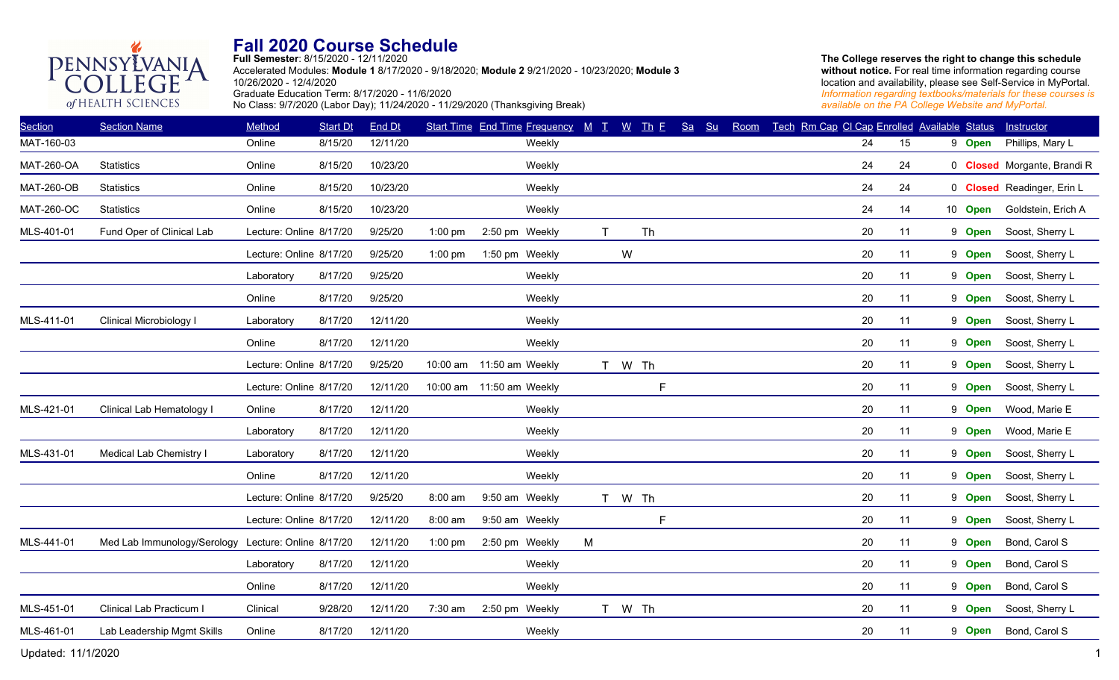

**Full Semester**: 8/15/2020 - 12/11/2020 Accelerated Modules: **Module 1** 8/17/2020 - 9/18/2020; **Module 2** 9/21/2020 - 10/23/2020; **Module 3** 10/26/2020 - 12/4/2020 Graduate Education Term: 8/17/2020 - 11/6/2020 No Class: 9/7/2020 (Labor Day); 11/24/2020 - 11/29/2020 (Thanksgiving Break)

**The College reserves the right to change this schedule**  without notice. For real time information regarding course location and availability, please see Self-Service in MyPortal. *Information regarding textbooks/materials for these courses is available on the PA College Website and MyPortal.*

| <b>Section</b>    | <b>Section Name</b>                                 | Method                  | <b>Start Dt</b> | End Dt   |           | Start Time End Time Frequency M T W Th E |        |   |        |             | Sa Su | Room | Tech Rm Cap CI Cap Enrolled Available Status |        |    |         | Instructor                  |
|-------------------|-----------------------------------------------------|-------------------------|-----------------|----------|-----------|------------------------------------------|--------|---|--------|-------------|-------|------|----------------------------------------------|--------|----|---------|-----------------------------|
| MAT-160-03        |                                                     | Online                  | 8/15/20         | 12/11/20 |           |                                          | Weekly |   |        |             |       |      |                                              | 24     | 15 | 9 Open  | Phillips, Mary L            |
| <b>MAT-260-OA</b> | <b>Statistics</b>                                   | Online                  | 8/15/20         | 10/23/20 |           |                                          | Weekly |   |        |             |       |      |                                              | 24     | 24 |         | 0 Closed Morgante, Brandi R |
| <b>MAT-260-OB</b> | <b>Statistics</b>                                   | Online                  | 8/15/20         | 10/23/20 |           |                                          | Weekly |   |        |             |       |      |                                              | 24     | 24 |         | 0 Closed Readinger, Erin L  |
| <b>MAT-260-OC</b> | <b>Statistics</b>                                   | Online                  | 8/15/20         | 10/23/20 |           |                                          | Weekly |   |        |             |       |      |                                              | 24     | 14 | 10 Open | Goldstein, Erich A          |
| MLS-401-01        | Fund Oper of Clinical Lab                           | Lecture: Online 8/17/20 |                 | 9/25/20  | $1:00$ pm | 2:50 pm Weekly                           |        | T |        | Th          |       |      |                                              | 20     | 11 | 9 Open  | Soost, Sherry L             |
|                   |                                                     | Lecture: Online 8/17/20 |                 | 9/25/20  | $1:00$ pm | 1:50 pm Weekly                           |        |   | W      |             |       |      |                                              | 20     | 11 | 9 Open  | Soost, Sherry L             |
|                   |                                                     | Laboratory              | 8/17/20         | 9/25/20  |           |                                          | Weekly |   |        |             |       |      |                                              | 20     | 11 | 9 Open  | Soost, Sherry L             |
|                   |                                                     | Online                  | 8/17/20         | 9/25/20  |           |                                          | Weekly |   |        |             |       |      |                                              | 20     | 11 | 9 Open  | Soost, Sherry L             |
| MLS-411-01        | Clinical Microbiology I                             | Laboratory              | 8/17/20         | 12/11/20 |           |                                          | Weekly |   |        |             |       |      |                                              | 20     | 11 | 9 Open  | Soost, Sherry L             |
|                   |                                                     | Online                  | 8/17/20         | 12/11/20 |           |                                          | Weekly |   |        |             |       |      |                                              | 20     | 11 | 9 Open  | Soost, Sherry L             |
|                   |                                                     | Lecture: Online 8/17/20 |                 | 9/25/20  |           | 10:00 am 11:50 am Weekly                 |        |   | T W Th |             |       |      |                                              | $20\,$ | 11 | 9 Open  | Soost, Sherry L             |
|                   |                                                     | Lecture: Online 8/17/20 |                 | 12/11/20 |           | 10:00 am 11:50 am Weekly                 |        |   |        | $\mathsf F$ |       |      |                                              | 20     | 11 | 9 Open  | Soost, Sherry L             |
| MLS-421-01        | Clinical Lab Hematology I                           | Online                  | 8/17/20         | 12/11/20 |           |                                          | Weekly |   |        |             |       |      |                                              | 20     | 11 | 9 Open  | Wood, Marie E               |
|                   |                                                     | Laboratory              | 8/17/20         | 12/11/20 |           |                                          | Weekly |   |        |             |       |      |                                              | 20     | 11 | 9 Open  | Wood, Marie E               |
| MLS-431-01        | Medical Lab Chemistry I                             | Laboratory              | 8/17/20         | 12/11/20 |           |                                          | Weekly |   |        |             |       |      |                                              | 20     | 11 | 9 Open  | Soost, Sherry L             |
|                   |                                                     | Online                  | 8/17/20         | 12/11/20 |           |                                          | Weekly |   |        |             |       |      |                                              | 20     | 11 | 9 Open  | Soost, Sherry L             |
|                   |                                                     | Lecture: Online 8/17/20 |                 | 9/25/20  | 8:00 am   | 9:50 am Weekly                           |        |   | T W Th |             |       |      |                                              | 20     | 11 | 9 Open  | Soost, Sherry L             |
|                   |                                                     | Lecture: Online 8/17/20 |                 | 12/11/20 | 8:00 am   | 9:50 am Weekly                           |        |   |        | F           |       |      |                                              | 20     | 11 | 9 Open  | Soost, Sherry L             |
| MLS-441-01        | Med Lab Immunology/Serology Lecture: Online 8/17/20 |                         |                 | 12/11/20 | $1:00$ pm | 2:50 pm Weekly                           |        | M |        |             |       |      |                                              | 20     | 11 | 9 Open  | Bond, Carol S               |
|                   |                                                     | Laboratory              | 8/17/20         | 12/11/20 |           |                                          | Weekly |   |        |             |       |      |                                              | 20     | 11 | 9 Open  | Bond, Carol S               |
|                   |                                                     | Online                  | 8/17/20         | 12/11/20 |           |                                          | Weekly |   |        |             |       |      |                                              | 20     | 11 | 9 Open  | Bond, Carol S               |
| MLS-451-01        | Clinical Lab Practicum I                            | Clinical                | 9/28/20         | 12/11/20 | 7:30 am   | 2:50 pm Weekly                           |        |   | T W Th |             |       |      |                                              | 20     | 11 | 9 Open  | Soost, Sherry L             |
| MLS-461-01        | Lab Leadership Mgmt Skills                          | Online                  | 8/17/20         | 12/11/20 |           |                                          | Weekly |   |        |             |       |      |                                              | 20     | 11 | 9 Open  | Bond, Carol S               |
|                   |                                                     |                         |                 |          |           |                                          |        |   |        |             |       |      |                                              |        |    |         |                             |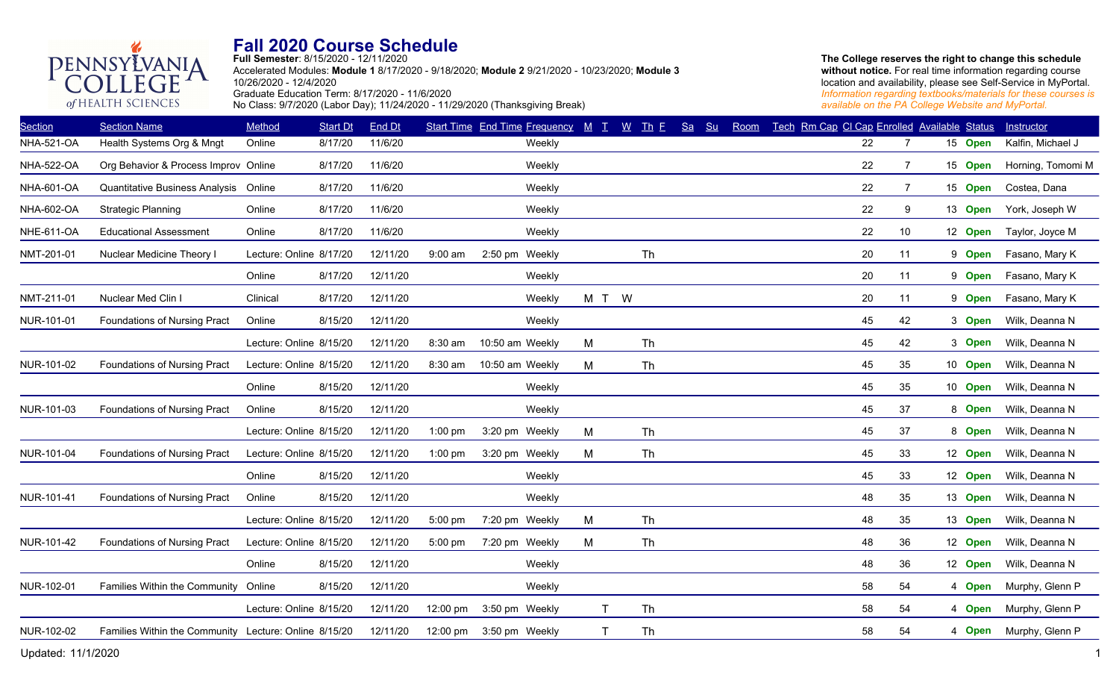

**Full Semester**: 8/15/2020 - 12/11/2020 Accelerated Modules: **Module 1** 8/17/2020 - 9/18/2020; **Module 2** 9/21/2020 - 10/23/2020; **Module 3** 10/26/2020 - 12/4/2020 Graduate Education Term: 8/17/2020 - 11/6/2020 No Class: 9/7/2020 (Labor Day); 11/24/2020 - 11/29/2020 (Thanksgiving Break)

**The College reserves the right to change this schedule**  without notice. For real time information regarding course location and availability, please see Self-Service in MyPortal. *Information regarding textbooks/materials for these courses is available on the PA College Website and MyPortal.*

| <b>Section</b>    | <b>Section Name</b>                                   | Method                  | <b>Start Dt</b> | End Dt   |           | Start Time End Time Frequency $M$ T $M$ Th E |        |              |           | Sa | Su | Room |  | Tech Rm Cap CI Cap Enrolled Available Status |                |         | Instructor        |
|-------------------|-------------------------------------------------------|-------------------------|-----------------|----------|-----------|----------------------------------------------|--------|--------------|-----------|----|----|------|--|----------------------------------------------|----------------|---------|-------------------|
| <b>NHA-521-OA</b> | Health Systems Org & Mngt                             | Online                  | 8/17/20         | 11/6/20  |           |                                              | Weekly |              |           |    |    |      |  | 22                                           | 7              | 15 Open | Kalfin, Michael J |
| <b>NHA-522-OA</b> | Org Behavior & Process Improv Online                  |                         | 8/17/20         | 11/6/20  |           |                                              | Weekly |              |           |    |    |      |  | 22                                           | $\overline{7}$ | 15 Open | Horning, Tomomi M |
| <b>NHA-601-OA</b> | Quantitative Business Analysis Online                 |                         | 8/17/20         | 11/6/20  |           |                                              | Weekly |              |           |    |    |      |  | 22                                           | $\overline{7}$ | 15 Open | Costea, Dana      |
| NHA-602-OA        | <b>Strategic Planning</b>                             | Online                  | 8/17/20         | 11/6/20  |           |                                              | Weekly |              |           |    |    |      |  | 22                                           | 9              | 13 Open | York, Joseph W    |
| <b>NHE-611-OA</b> | <b>Educational Assessment</b>                         | Online                  | 8/17/20         | 11/6/20  |           |                                              | Weekly |              |           |    |    |      |  | 22                                           | 10             | 12 Open | Taylor, Joyce M   |
| NMT-201-01        | Nuclear Medicine Theory I                             | Lecture: Online 8/17/20 |                 | 12/11/20 | 9:00 am   | 2:50 pm Weekly                               |        |              | Th        |    |    |      |  | 20                                           | 11             | 9 Open  | Fasano, Mary K    |
|                   |                                                       | Online                  | 8/17/20         | 12/11/20 |           |                                              | Weekly |              |           |    |    |      |  | 20                                           | 11             | 9 Open  | Fasano, Mary K    |
| NMT-211-01        | Nuclear Med Clin I                                    | Clinical                | 8/17/20         | 12/11/20 |           |                                              | Weekly | M T W        |           |    |    |      |  | 20                                           | 11             | 9 Open  | Fasano, Mary K    |
| NUR-101-01        | Foundations of Nursing Pract                          | Online                  | 8/15/20         | 12/11/20 |           |                                              | Weekly |              |           |    |    |      |  | 45                                           | 42             | 3 Open  | Wilk, Deanna N    |
|                   |                                                       | Lecture: Online 8/15/20 |                 | 12/11/20 | 8:30 am   | 10:50 am Weekly                              |        | M            | Th        |    |    |      |  | 45                                           | 42             | 3 Open  | Wilk, Deanna N    |
| NUR-101-02        | Foundations of Nursing Pract                          | Lecture: Online 8/15/20 |                 | 12/11/20 | 8:30 am   | 10:50 am Weekly                              |        | м            | <b>Th</b> |    |    |      |  | 45                                           | 35             | 10 Open | Wilk, Deanna N    |
|                   |                                                       | Online                  | 8/15/20         | 12/11/20 |           |                                              | Weekly |              |           |    |    |      |  | 45                                           | 35             | 10 Open | Wilk, Deanna N    |
| NUR-101-03        | Foundations of Nursing Pract                          | Online                  | 8/15/20         | 12/11/20 |           |                                              | Weekly |              |           |    |    |      |  | 45                                           | 37             | 8 Open  | Wilk, Deanna N    |
|                   |                                                       | Lecture: Online 8/15/20 |                 | 12/11/20 | 1:00 pm   | 3:20 pm Weekly                               |        | M            | Th        |    |    |      |  | 45                                           | 37             | 8 Open  | Wilk, Deanna N    |
| NUR-101-04        | Foundations of Nursing Pract                          | Lecture: Online 8/15/20 |                 | 12/11/20 | $1:00$ pm | 3:20 pm Weekly                               |        | M            | Th        |    |    |      |  | 45                                           | 33             | 12 Open | Wilk, Deanna N    |
|                   |                                                       | Online                  | 8/15/20         | 12/11/20 |           |                                              | Weekly |              |           |    |    |      |  | 45                                           | 33             | 12 Open | Wilk, Deanna N    |
| NUR-101-41        | Foundations of Nursing Pract                          | Online                  | 8/15/20         | 12/11/20 |           |                                              | Weekly |              |           |    |    |      |  | 48                                           | 35             | 13 Open | Wilk, Deanna N    |
|                   |                                                       | Lecture: Online 8/15/20 |                 | 12/11/20 | 5:00 pm   | 7:20 pm Weekly                               |        | М            | Th        |    |    |      |  | 48                                           | 35             | 13 Open | Wilk, Deanna N    |
| NUR-101-42        | Foundations of Nursing Pract                          | Lecture: Online 8/15/20 |                 | 12/11/20 | $5:00$ pm | 7:20 pm Weekly                               |        | M            | Th        |    |    |      |  | 48                                           | 36             | 12 Open | Wilk, Deanna N    |
|                   |                                                       | Online                  | 8/15/20         | 12/11/20 |           |                                              | Weekly |              |           |    |    |      |  | 48                                           | 36             | 12 Open | Wilk, Deanna N    |
| NUR-102-01        | Families Within the Community Online                  |                         | 8/15/20         | 12/11/20 |           |                                              | Weekly |              |           |    |    |      |  | 58                                           | 54             | 4 Open  | Murphy, Glenn P   |
|                   |                                                       | Lecture: Online 8/15/20 |                 | 12/11/20 | 12:00 pm  | 3:50 pm Weekly                               |        | T            | Th        |    |    |      |  | 58                                           | 54             | 4 Open  | Murphy, Glenn P   |
| NUR-102-02        | Families Within the Community Lecture: Online 8/15/20 |                         |                 | 12/11/20 |           | 12:00 pm 3:50 pm Weekly                      |        | $\mathsf{T}$ | Th        |    |    |      |  | 58                                           | 54             | 4 Open  | Murphy, Glenn P   |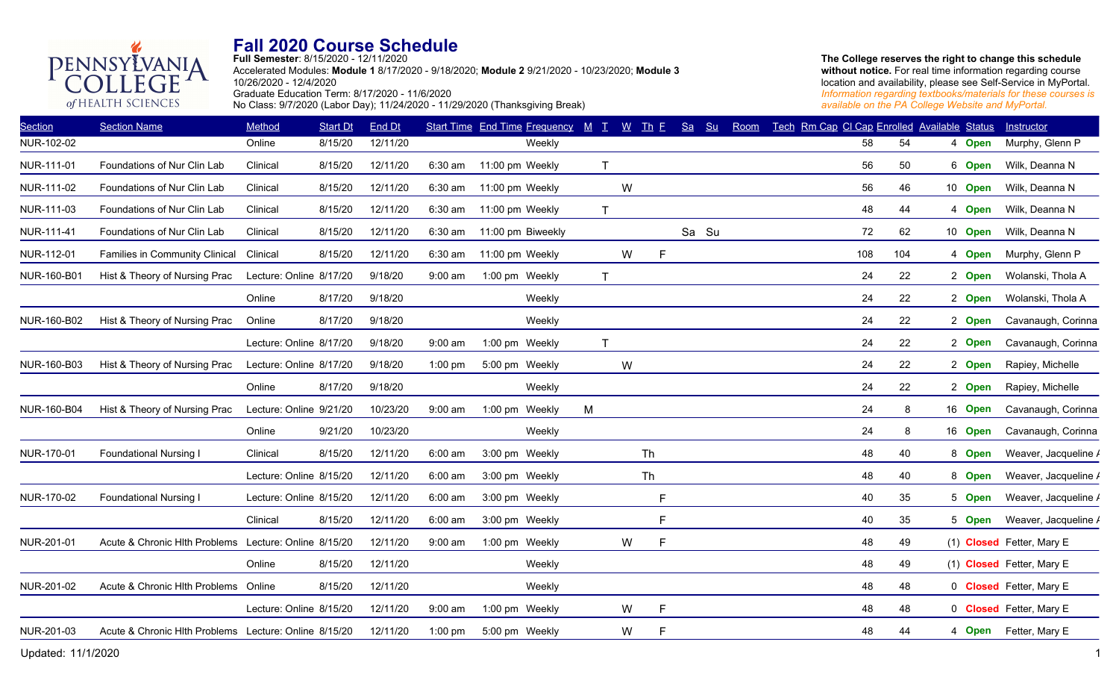**Full Semester**: 8/15/2020 - 12/11/2020

Accelerated Modules: **Module 1** 8/17/2020 - 9/18/2020; **Module 2** 9/21/2020 - 10/23/2020; **Module 3** 10/26/2020 - 12/4/2020 Graduate Education Term: 8/17/2020 - 11/6/2020 No Class: 9/7/2020 (Labor Day); 11/24/2020 - 11/29/2020 (Thanksgiving Break)

**The College reserves the right to change this schedule**  without notice. For real time information regarding course location and availability, please see Self-Service in MyPortal. *Information regarding textbooks/materials for these courses is available on the PA College Website and MyPortal.*

| <b>Section</b> | <b>Section Name</b>                                   | Method                  | <b>Start Dt</b> | <b>End Dt</b> |           | Start Time End Time Frequency $M$ T $W$ Th E |              |   |                | Sa Su | Room | Tech Rm Cap CI Cap Enrolled Available Status |     |         | Instructor                |
|----------------|-------------------------------------------------------|-------------------------|-----------------|---------------|-----------|----------------------------------------------|--------------|---|----------------|-------|------|----------------------------------------------|-----|---------|---------------------------|
| NUR-102-02     |                                                       | Online                  | 8/15/20         | 12/11/20      |           | Weekly                                       |              |   |                |       |      | 58                                           | 54  | 4 Open  | Murphy, Glenn P           |
| NUR-111-01     | Foundations of Nur Clin Lab                           | Clinical                | 8/15/20         | 12/11/20      | $6:30$ am | 11:00 pm Weekly                              | $\mathsf{T}$ |   |                |       |      | 56                                           | 50  | 6 Open  | Wilk, Deanna N            |
| NUR-111-02     | Foundations of Nur Clin Lab                           | Clinical                | 8/15/20         | 12/11/20      | $6:30$ am | 11:00 pm Weekly                              |              | W |                |       |      | 56                                           | 46  | 10 Open | Wilk, Deanna N            |
| NUR-111-03     | Foundations of Nur Clin Lab                           | Clinical                | 8/15/20         | 12/11/20      | 6:30 am   | 11:00 pm Weekly                              | $\mathsf{T}$ |   |                |       |      | 48                                           | 44  | 4 Open  | Wilk, Deanna N            |
| NUR-111-41     | Foundations of Nur Clin Lab                           | Clinical                | 8/15/20         | 12/11/20      | 6:30 am   | 11:00 pm Biweekly                            |              |   |                | Sa Su |      | 72                                           | 62  | 10 Open | Wilk, Deanna N            |
| NUR-112-01     | Families in Community Clinical                        | Clinical                | 8/15/20         | 12/11/20      | 6:30 am   | 11:00 pm Weekly                              |              | W | F              |       |      | 108                                          | 104 | 4 Open  | Murphy, Glenn P           |
| NUR-160-B01    | Hist & Theory of Nursing Prac                         | Lecture: Online 8/17/20 |                 | 9/18/20       | 9:00 am   | 1:00 pm Weekly                               | $\mathsf{T}$ |   |                |       |      | 24                                           | 22  | 2 Open  | Wolanski, Thola A         |
|                |                                                       | Online                  | 8/17/20         | 9/18/20       |           | Weekly                                       |              |   |                |       |      | 24                                           | 22  | 2 Open  | Wolanski, Thola A         |
| NUR-160-B02    | Hist & Theory of Nursing Prac                         | Online                  | 8/17/20         | 9/18/20       |           | Weekly                                       |              |   |                |       |      | 24                                           | 22  | 2 Open  | Cavanaugh, Corinna        |
|                |                                                       | Lecture: Online 8/17/20 |                 | 9/18/20       | 9:00 am   | 1:00 pm Weekly                               | $\mathsf{T}$ |   |                |       |      | 24                                           | 22  | 2 Open  | Cavanaugh, Corinna        |
| NUR-160-B03    | Hist & Theory of Nursing Prac                         | Lecture: Online 8/17/20 |                 | 9/18/20       | $1:00$ pm | 5:00 pm Weekly                               |              | W |                |       |      | 24                                           | 22  | 2 Open  | Rapiey, Michelle          |
|                |                                                       | Online                  | 8/17/20         | 9/18/20       |           | Weekly                                       |              |   |                |       |      | 24                                           | 22  | 2 Open  | Rapiey, Michelle          |
| NUR-160-B04    | Hist & Theory of Nursing Prac                         | Lecture: Online 9/21/20 |                 | 10/23/20      | $9:00$ am | 1:00 pm Weekly                               | M            |   |                |       |      | 24                                           | 8   | 16 Open | Cavanaugh, Corinna        |
|                |                                                       | Online                  | 9/21/20         | 10/23/20      |           | Weekly                                       |              |   |                |       |      | 24                                           | 8   | 16 Open | Cavanaugh, Corinna        |
| NUR-170-01     | <b>Foundational Nursing I</b>                         | Clinical                | 8/15/20         | 12/11/20      | $6:00$ am | 3:00 pm Weekly                               |              |   | Th             |       |      | 48                                           | 40  | 8 Open  | Weaver, Jacqueline /      |
|                |                                                       | Lecture: Online 8/15/20 |                 | 12/11/20      | $6:00$ am | 3:00 pm Weekly                               |              |   | <b>Th</b>      |       |      | 48                                           | 40  | 8 Open  | Weaver, Jacqueline /      |
| NUR-170-02     | <b>Foundational Nursing I</b>                         | Lecture: Online 8/15/20 |                 | 12/11/20      | $6:00$ am | 3:00 pm Weekly                               |              |   | F              |       |      | 40                                           | 35  | 5 Open  | Weaver, Jacqueline /      |
|                |                                                       | Clinical                | 8/15/20         | 12/11/20      | $6:00$ am | 3:00 pm Weekly                               |              |   | F              |       |      | 40                                           | 35  | 5 Open  | Weaver, Jacqueline /      |
| NUR-201-01     | Acute & Chronic Hlth Problems Lecture: Online 8/15/20 |                         |                 | 12/11/20      | $9:00$ am | 1:00 pm Weekly                               |              | W | F              |       |      | 48                                           | 49  |         | (1) Closed Fetter, Mary E |
|                |                                                       | Online                  | 8/15/20         | 12/11/20      |           | Weekly                                       |              |   |                |       |      | 48                                           | 49  |         | (1) Closed Fetter, Mary E |
| NUR-201-02     | Acute & Chronic Hith Problems                         | Online                  | 8/15/20         | 12/11/20      |           | Weekly                                       |              |   |                |       |      | 48                                           | 48  |         | 0 Closed Fetter, Mary E   |
|                |                                                       | Lecture: Online 8/15/20 |                 | 12/11/20      | $9:00$ am | 1:00 pm Weekly                               |              | W | $\overline{F}$ |       |      | 48                                           | 48  |         | 0 Closed Fetter, Mary E   |
| NUR-201-03     | Acute & Chronic Hlth Problems Lecture: Online 8/15/20 |                         |                 | 12/11/20      | $1:00$ pm | 5:00 pm Weekly                               |              | W | F              |       |      | 48                                           | 44  |         | 4 Open Fetter, Mary E     |
|                |                                                       |                         |                 |               |           |                                              |              |   |                |       |      |                                              |     |         |                           |

PENNSYLVANIA

of HEALTH SCIENCES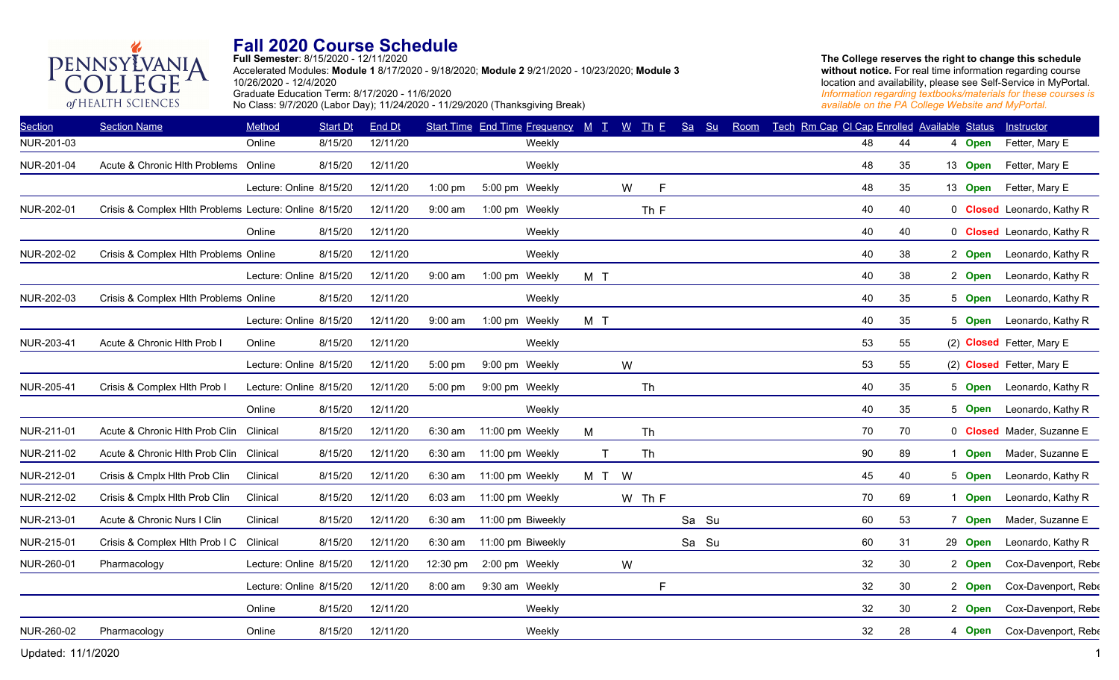**Full Semester**: 8/15/2020 - 12/11/2020

Accelerated Modules: **Module 1** 8/17/2020 - 9/18/2020; **Module 2** 9/21/2020 - 10/23/2020; **Module 3** 10/26/2020 - 12/4/2020 Graduate Education Term: 8/17/2020 - 11/6/2020 No Class: 9/7/2020 (Labor Day); 11/24/2020 - 11/29/2020 (Thanksgiving Break)

**The College reserves the right to change this schedule**  without notice. For real time information regarding course location and availability, please see Self-Service in MyPortal. *Information regarding textbooks/materials for these courses is available on the PA College Website and MyPortal.*

| <b>Section</b> | <b>Section Name</b>                                    | Method                  | <b>Start Dt</b> | <b>End Dt</b> |           | Start Time End Time Frequency M T W Th E |     |          |        | Sa | Su    | Room | Tech Rm Cap CI Cap Enrolled Available Status |    |         | Instructor                        |
|----------------|--------------------------------------------------------|-------------------------|-----------------|---------------|-----------|------------------------------------------|-----|----------|--------|----|-------|------|----------------------------------------------|----|---------|-----------------------------------|
| NUR-201-03     |                                                        | Online                  | 8/15/20         | 12/11/20      |           | Weekly                                   |     |          |        |    |       |      | 48                                           | 44 | 4 Open  | Fetter, Mary E                    |
| NUR-201-04     | Acute & Chronic Hith Problems Online                   |                         | 8/15/20         | 12/11/20      |           | Weekly                                   |     |          |        |    |       |      | 48                                           | 35 | 13 Open | Fetter, Mary E                    |
|                |                                                        | Lecture: Online 8/15/20 |                 | 12/11/20      | $1:00$ pm | 5:00 pm Weekly                           |     | W        | E      |    |       |      | 48                                           | 35 | 13 Open | Fetter, Mary E                    |
| NUR-202-01     | Crisis & Complex Hlth Problems Lecture: Online 8/15/20 |                         |                 | 12/11/20      | 9:00 am   | 1:00 pm Weekly                           |     |          | Th F   |    |       |      | 40                                           | 40 |         | 0 <b>Closed</b> Leonardo, Kathy R |
|                |                                                        | Online                  | 8/15/20         | 12/11/20      |           | Weekly                                   |     |          |        |    |       |      | 40                                           | 40 |         | 0 <b>Closed</b> Leonardo, Kathy R |
| NUR-202-02     | Crisis & Complex Hlth Problems Online                  |                         | 8/15/20         | 12/11/20      |           | Weekly                                   |     |          |        |    |       |      | 40                                           | 38 | 2 Open  | Leonardo, Kathy R                 |
|                |                                                        | Lecture: Online 8/15/20 |                 | 12/11/20      | 9:00 am   | 1:00 pm Weekly                           | M T |          |        |    |       |      | 40                                           | 38 | 2 Open  | Leonardo, Kathy R                 |
| NUR-202-03     | Crisis & Complex Hlth Problems Online                  |                         | 8/15/20         | 12/11/20      |           | Weekly                                   |     |          |        |    |       |      | 40                                           | 35 | 5 Open  | Leonardo, Kathy R                 |
|                |                                                        | Lecture: Online 8/15/20 |                 | 12/11/20      | 9:00 am   | 1:00 pm Weekly                           | M T |          |        |    |       |      | 40                                           | 35 | 5 Open  | Leonardo, Kathy R                 |
| NUR-203-41     | Acute & Chronic Hlth Prob I                            | Online                  | 8/15/20         | 12/11/20      |           | Weekly                                   |     |          |        |    |       |      | 53                                           | 55 |         | (2) Closed Fetter, Mary E         |
|                |                                                        | Lecture: Online 8/15/20 |                 | 12/11/20      | 5:00 pm   | 9:00 pm Weekly                           |     | W        |        |    |       |      | 53                                           | 55 |         | (2) Closed Fetter, Mary E         |
| NUR-205-41     | Crisis & Complex Hlth Prob I                           | Lecture: Online 8/15/20 |                 | 12/11/20      | 5:00 pm   | 9:00 pm Weekly                           |     |          | Th     |    |       |      | 40                                           | 35 | 5 Open  | Leonardo, Kathy R                 |
|                |                                                        | Online                  | 8/15/20         | 12/11/20      |           | Weekly                                   |     |          |        |    |       |      | 40                                           | 35 | 5 Open  | Leonardo, Kathy R                 |
| NUR-211-01     | Acute & Chronic Hlth Prob Clin                         | Clinical                | 8/15/20         | 12/11/20      | 6:30 am   | 11:00 pm Weekly                          | M   |          | Th     |    |       |      | 70                                           | 70 |         | 0 <b>Closed</b> Mader, Suzanne E  |
| NUR-211-02     | Acute & Chronic Hlth Prob Clin                         | Clinical                | 8/15/20         | 12/11/20      | 6:30 am   | 11:00 pm Weekly                          |     | T        | Th     |    |       |      | 90                                           | 89 | 1 Open  | Mader, Suzanne E                  |
| NUR-212-01     | Crisis & Cmplx Hlth Prob Clin                          | Clinical                | 8/15/20         | 12/11/20      | 6:30 am   | 11:00 pm Weekly                          | M T | <b>W</b> |        |    |       |      | 45                                           | 40 | 5 Open  | Leonardo, Kathy R                 |
| NUR-212-02     | Crisis & Cmplx Hlth Prob Clin                          | Clinical                | 8/15/20         | 12/11/20      | $6:03$ am | 11:00 pm Weekly                          |     |          | W Th F |    |       |      | 70                                           | 69 | 1 Open  | Leonardo, Kathy R                 |
| NUR-213-01     | Acute & Chronic Nurs I Clin                            | Clinical                | 8/15/20         | 12/11/20      | 6:30 am   | 11:00 pm Biweekly                        |     |          |        |    | Sa Su |      | 60                                           | 53 | 7 Open  | Mader, Suzanne E                  |
| NUR-215-01     | Crisis & Complex Hlth Prob I C Clinical                |                         | 8/15/20         | 12/11/20      | 6:30 am   | 11:00 pm Biweekly                        |     |          |        |    | Sa Su |      | 60                                           | 31 | 29 Open | Leonardo, Kathy R                 |
| NUR-260-01     | Pharmacology                                           | Lecture: Online 8/15/20 |                 | 12/11/20      | 12:30 pm  | 2:00 pm Weekly                           |     | W        |        |    |       |      | 32                                           | 30 | 2 Open  | Cox-Davenport, Rebe               |
|                |                                                        | Lecture: Online 8/15/20 |                 | 12/11/20      | 8:00 am   | 9:30 am Weekly                           |     |          | F      |    |       |      | 32                                           | 30 | 2 Open  | Cox-Davenport, Rebe               |
|                |                                                        | Online                  | 8/15/20         | 12/11/20      |           | Weekly                                   |     |          |        |    |       |      | 32                                           | 30 | 2 Open  | Cox-Davenport, Rebe               |
| NUR-260-02     | Pharmacology                                           | Online                  | 8/15/20         | 12/11/20      |           | Weekly                                   |     |          |        |    |       |      | 32                                           | 28 | 4 Open  | Cox-Davenport, Rebe               |
|                |                                                        |                         |                 |               |           |                                          |     |          |        |    |       |      |                                              |    |         |                                   |

PENNSYLVANIA

of HEALTH SCIENCES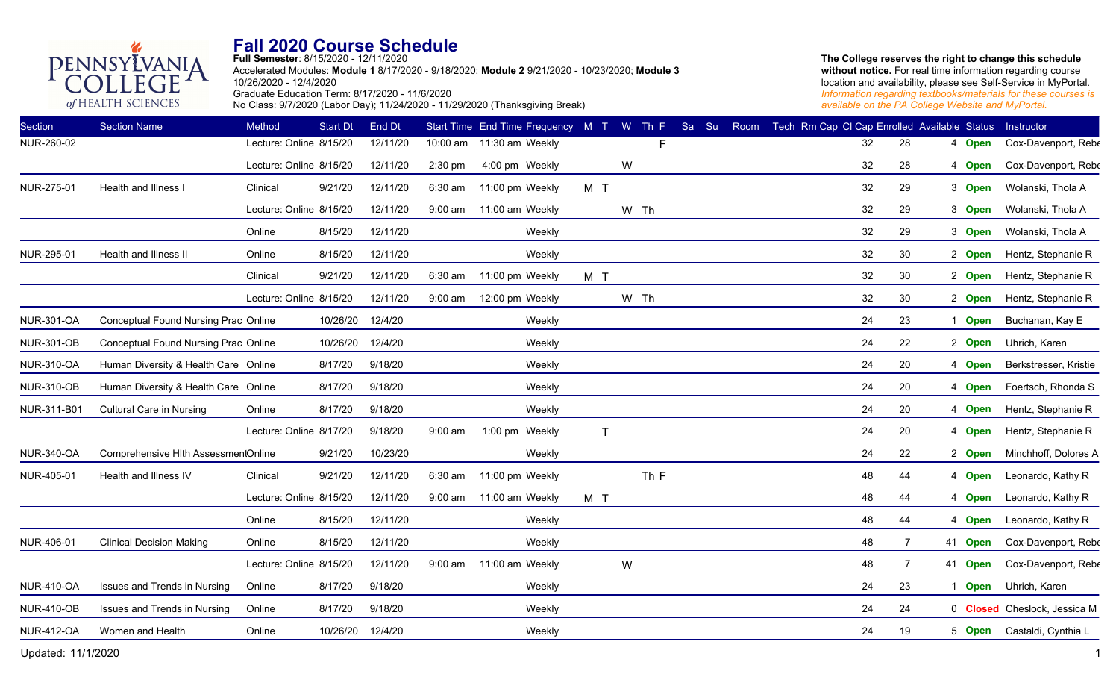**Full Semester**: 8/15/2020 - 12/11/2020

Accelerated Modules: **Module 1** 8/17/2020 - 9/18/2020; **Module 2** 9/21/2020 - 10/23/2020; **Module 3** 10/26/2020 - 12/4/2020 Graduate Education Term: 8/17/2020 - 11/6/2020 No Class: 9/7/2020 (Labor Day); 11/24/2020 - 11/29/2020 (Thanksgiving Break)

**The College reserves the right to change this schedule**  without notice. For real time information regarding course location and availability, please see Self-Service in MyPortal. *Information regarding textbooks/materials for these courses is available on the PA College Website and MyPortal.*

| <b>Section</b>    | <b>Section Name</b>                  | Method                  | <b>Start Dt</b> | <b>End Dt</b> |           | Start Time End Time Frequency M T |                | $W$ Th E | Sa | Su<br>Room | Tech Rm Cap CI Cap Enrolled Available Status |                      |         | Instructor                   |
|-------------------|--------------------------------------|-------------------------|-----------------|---------------|-----------|-----------------------------------|----------------|----------|----|------------|----------------------------------------------|----------------------|---------|------------------------------|
| NUR-260-02        |                                      | Lecture: Online 8/15/20 |                 | 12/11/20      | 10:00 am  | 11:30 am Weekly                   |                | F        |    |            |                                              | 32<br>28             | 4 Open  | Cox-Davenport, Rebe          |
|                   |                                      | Lecture: Online 8/15/20 |                 | 12/11/20      | 2:30 pm   | 4:00 pm Weekly                    |                | W        |    |            |                                              | 32<br>28             | 4 Open  | Cox-Davenport, Rebe          |
| NUR-275-01        | Health and Illness                   | Clinical                | 9/21/20         | 12/11/20      | 6:30 am   | 11:00 pm Weekly                   | M T            |          |    |            |                                              | 32<br>29             | 3 Open  | Wolanski, Thola A            |
|                   |                                      | Lecture: Online 8/15/20 |                 | 12/11/20      | $9:00$ am | 11:00 am Weekly                   |                | W Th     |    |            |                                              | 32<br>29             | 3 Open  | Wolanski, Thola A            |
|                   |                                      | Online                  | 8/15/20         | 12/11/20      |           | Weekly                            |                |          |    |            |                                              | 32<br>29             | 3 Open  | Wolanski, Thola A            |
| NUR-295-01        | Health and Illness II                | Online                  | 8/15/20         | 12/11/20      |           | Weekly                            |                |          |    |            |                                              | 32<br>30             | 2 Open  | Hentz, Stephanie R           |
|                   |                                      | Clinical                | 9/21/20         | 12/11/20      | 6:30 am   | 11:00 pm Weekly                   | M <sub>T</sub> |          |    |            |                                              | 32<br>30             | 2 Open  | Hentz, Stephanie R           |
|                   |                                      | Lecture: Online 8/15/20 |                 | 12/11/20      | $9:00$ am | 12:00 pm Weekly                   |                | W Th     |    |            |                                              | 32<br>30             | 2 Open  | Hentz, Stephanie R           |
| <b>NUR-301-OA</b> | Conceptual Found Nursing Prac Online |                         | 10/26/20        | 12/4/20       |           | Weekly                            |                |          |    |            |                                              | 24<br>23             | 1 Open  | Buchanan, Kay E              |
| <b>NUR-301-OB</b> | Conceptual Found Nursing Prac Online |                         | 10/26/20        | 12/4/20       |           | Weekly                            |                |          |    |            |                                              | 24<br>22             | 2 Open  | Uhrich, Karen                |
| <b>NUR-310-OA</b> | Human Diversity & Health Care Online |                         | 8/17/20         | 9/18/20       |           | Weekly                            |                |          |    |            |                                              | 24<br>20             | 4 Open  | Berkstresser, Kristie        |
| <b>NUR-310-OB</b> | Human Diversity & Health Care Online |                         | 8/17/20         | 9/18/20       |           | Weekly                            |                |          |    |            |                                              | 24<br>20             | 4 Open  | Foertsch, Rhonda S           |
| NUR-311-B01       | <b>Cultural Care in Nursing</b>      | Online                  | 8/17/20         | 9/18/20       |           | Weekly                            |                |          |    |            |                                              | 24<br>20             | 4 Open  | Hentz, Stephanie R           |
|                   |                                      | Lecture: Online 8/17/20 |                 | 9/18/20       | $9:00$ am | 1:00 pm Weekly                    | T              |          |    |            |                                              | 24<br>20             | 4 Open  | Hentz, Stephanie R           |
| <b>NUR-340-OA</b> | Comprehensive Hlth AssessmentOnline  |                         | 9/21/20         | 10/23/20      |           | Weekly                            |                |          |    |            |                                              | 24<br>22             | 2 Open  | Minchhoff, Dolores A         |
| NUR-405-01        | Health and Illness IV                | Clinical                | 9/21/20         | 12/11/20      | $6:30$ am | 11:00 pm Weekly                   |                | Th F     |    |            |                                              | 48<br>44             | 4 Open  | Leonardo, Kathy R            |
|                   |                                      | Lecture: Online 8/15/20 |                 | 12/11/20      | $9:00$ am | 11:00 am Weekly                   | M T            |          |    |            |                                              | 48<br>44             | 4 Open  | Leonardo, Kathy R            |
|                   |                                      | Online                  | 8/15/20         | 12/11/20      |           | Weekly                            |                |          |    |            |                                              | 48<br>44             | 4 Open  | Leonardo, Kathy R            |
| NUR-406-01        | <b>Clinical Decision Making</b>      | Online                  | 8/15/20         | 12/11/20      |           | Weekly                            |                |          |    |            |                                              | 48<br>$\overline{7}$ | 41 Open | Cox-Davenport, Rebe          |
|                   |                                      | Lecture: Online 8/15/20 |                 | 12/11/20      | $9:00$ am | 11:00 am Weekly                   |                | W        |    |            |                                              | 48<br>$\overline{7}$ | 41 Open | Cox-Davenport, Rebe          |
| <b>NUR-410-OA</b> | Issues and Trends in Nursing         | Online                  | 8/17/20         | 9/18/20       |           | Weekly                            |                |          |    |            |                                              | 24<br>23             | 1 Open  | Uhrich, Karen                |
| <b>NUR-410-OB</b> | Issues and Trends in Nursing         | Online                  | 8/17/20         | 9/18/20       |           | Weekly                            |                |          |    |            |                                              | 24<br>24             |         | 0 Closed Cheslock, Jessica M |
| <b>NUR-412-OA</b> | Women and Health                     | Online                  | 10/26/20        | 12/4/20       |           | Weekly                            |                |          |    |            |                                              | 24<br>19             | 5 Open  | Castaldi, Cynthia L          |
|                   |                                      |                         |                 |               |           |                                   |                |          |    |            |                                              |                      |         |                              |

PENNSYLVANIA

of HEALTH SCIENCES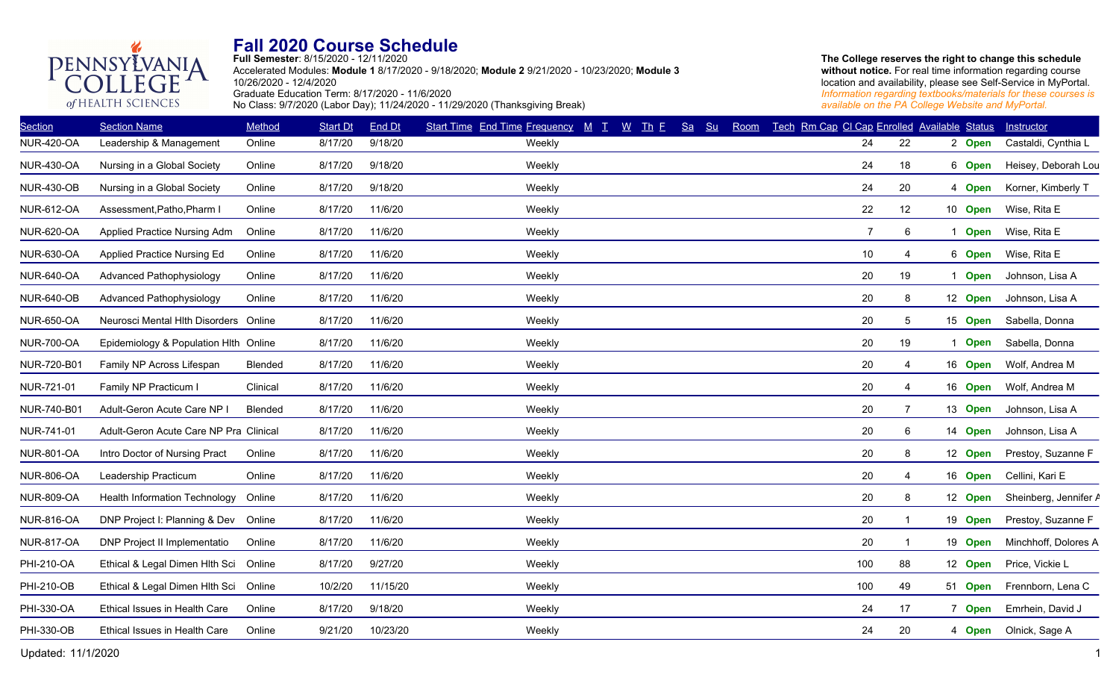

**Full Semester**: 8/15/2020 - 12/11/2020 Accelerated Modules: **Module 1** 8/17/2020 - 9/18/2020; **Module 2** 9/21/2020 - 10/23/2020; **Module 3** 10/26/2020 - 12/4/2020 Graduate Education Term: 8/17/2020 - 11/6/2020 No Class: 9/7/2020 (Labor Day); 11/24/2020 - 11/29/2020 (Thanksgiving Break)

| <b>Section</b>    | <b>Section Name</b>                    | Method         | <b>Start Dt</b> | End Dt   | Start Time End Time Frequency M T | $W$ Th E<br>Sa<br>S <sub>u</sub> | Room | Tech Rm Cap CI Cap Enrolled Available Status |        |             | Instructor            |
|-------------------|----------------------------------------|----------------|-----------------|----------|-----------------------------------|----------------------------------|------|----------------------------------------------|--------|-------------|-----------------------|
| <b>NUR-420-OA</b> | Leadership & Management                | Online         | 8/17/20         | 9/18/20  | Weekly                            |                                  |      | 24                                           | 22     | 2 Open      | Castaldi, Cynthia L   |
| <b>NUR-430-OA</b> | Nursing in a Global Society            | Online         | 8/17/20         | 9/18/20  | Weekly                            |                                  |      | 24                                           | 18     | 6 Open      | Heisey, Deborah Lou   |
| <b>NUR-430-OB</b> | Nursing in a Global Society            | Online         | 8/17/20         | 9/18/20  | Weekly                            |                                  |      | 24                                           | 20     | 4 Open      | Korner, Kimberly T    |
| <b>NUR-612-OA</b> | Assessment, Patho, Pharm I             | Online         | 8/17/20         | 11/6/20  | Weekly                            |                                  |      | 22                                           | 12     | 10 Open     | Wise, Rita E          |
| <b>NUR-620-OA</b> | Applied Practice Nursing Adm           | Online         | 8/17/20         | 11/6/20  | Weekly                            |                                  |      | $\overline{7}$                               | 6<br>1 | <b>Open</b> | Wise, Rita E          |
| <b>NUR-630-OA</b> | Applied Practice Nursing Ed            | Online         | 8/17/20         | 11/6/20  | Weekly                            |                                  |      | 10                                           | 4      | 6 Open      | Wise, Rita E          |
| <b>NUR-640-OA</b> | Advanced Pathophysiology               | Online         | 8/17/20         | 11/6/20  | Weekly                            |                                  |      | 20                                           | 19     | <b>Open</b> | Johnson, Lisa A       |
| <b>NUR-640-OB</b> | Advanced Pathophysiology               | Online         | 8/17/20         | 11/6/20  | Weekly                            |                                  |      | 20                                           | 8      | 12 Open     | Johnson, Lisa A       |
| <b>NUR-650-OA</b> | Neurosci Mental Hith Disorders         | Online         | 8/17/20         | 11/6/20  | Weekly                            |                                  |      | 20                                           | 5      | 15 Open     | Sabella, Donna        |
| <b>NUR-700-OA</b> | Epidemiology & Population Hlth Online  |                | 8/17/20         | 11/6/20  | Weekly                            |                                  |      | 20                                           | 19     | <b>Open</b> | Sabella, Donna        |
| NUR-720-B01       | Family NP Across Lifespan              | <b>Blended</b> | 8/17/20         | 11/6/20  | Weekly                            |                                  |      | 20                                           | 4      | 16 Open     | Wolf, Andrea M        |
| NUR-721-01        | Family NP Practicum I                  | Clinical       | 8/17/20         | 11/6/20  | Weekly                            |                                  |      | 20                                           | 4      | 16 Open     | Wolf, Andrea M        |
| NUR-740-B01       | Adult-Geron Acute Care NP I            | <b>Blended</b> | 8/17/20         | 11/6/20  | Weekly                            |                                  |      | 20                                           | 7      | 13 Open     | Johnson, Lisa A       |
| NUR-741-01        | Adult-Geron Acute Care NP Pra Clinical |                | 8/17/20         | 11/6/20  | Weekly                            |                                  |      | 20                                           | 6      | 14 Open     | Johnson, Lisa A       |
| <b>NUR-801-OA</b> | Intro Doctor of Nursing Pract          | Online         | 8/17/20         | 11/6/20  | Weekly                            |                                  |      | 20                                           | 8      | 12 Open     | Prestoy, Suzanne F    |
| <b>NUR-806-OA</b> | Leadership Practicum                   | Online         | 8/17/20         | 11/6/20  | Weekly                            |                                  |      | 20                                           |        | 16 Open     | Cellini, Kari E       |
| <b>NUR-809-OA</b> | <b>Health Information Technology</b>   | Online         | 8/17/20         | 11/6/20  | Weekly                            |                                  |      | 20                                           | 8      | 12 Open     | Sheinberg, Jennifer A |
| <b>NUR-816-OA</b> | DNP Project I: Planning & Dev Online   |                | 8/17/20         | 11/6/20  | Weekly                            |                                  |      | 20                                           |        | 19 Open     | Prestoy, Suzanne F    |
| <b>NUR-817-OA</b> | DNP Project II Implementatio           | Online         | 8/17/20         | 11/6/20  | Weekly                            |                                  |      | 20                                           |        | 19 Open     | Minchhoff, Dolores A  |
| PHI-210-OA        | Ethical & Legal Dimen Hlth Sci         | Online         | 8/17/20         | 9/27/20  | Weekly                            |                                  |      | 100                                          | 88     | 12 Open     | Price, Vickie L       |
| PHI-210-OB        | Ethical & Legal Dimen Hlth Sci Online  |                | 10/2/20         | 11/15/20 | Weekly                            |                                  |      | 100                                          | 49     | 51 Open     | Frennborn, Lena C     |
| PHI-330-OA        | Ethical Issues in Health Care          | Online         | 8/17/20         | 9/18/20  | Weekly                            |                                  |      | 24                                           | 17     | 7 Open      | Emrhein, David J      |
| PHI-330-OB        | Ethical Issues in Health Care          | Online         | 9/21/20         | 10/23/20 | Weekly                            |                                  |      | 24                                           | 20     | 4 Open      | Olnick, Sage A        |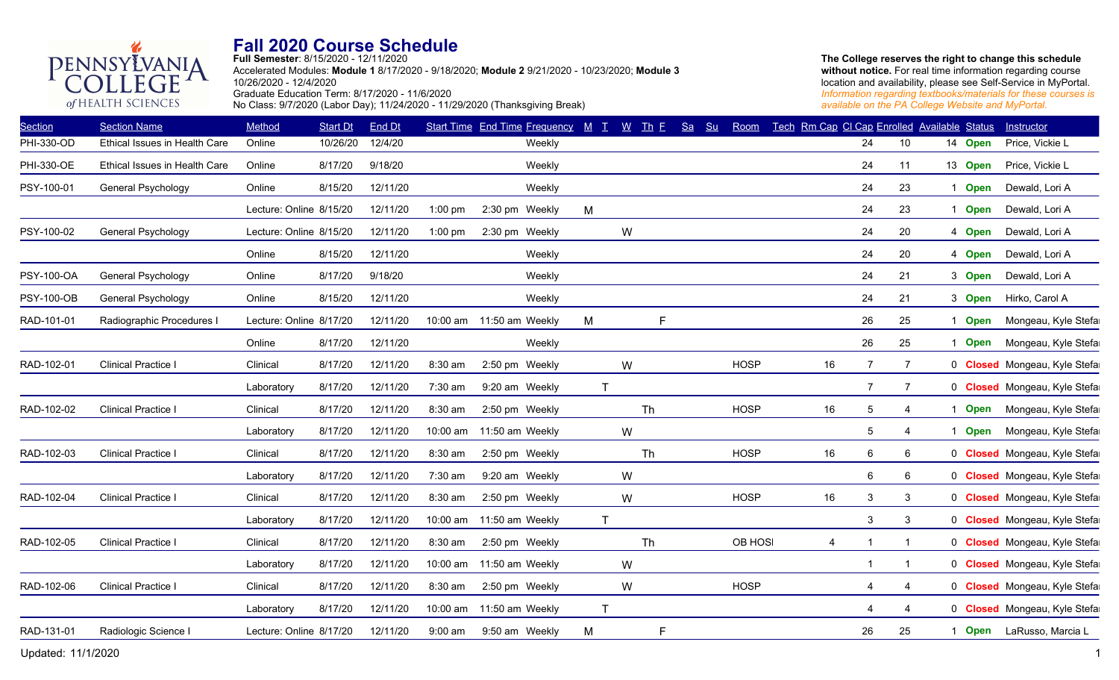

**Full Semester**: 8/15/2020 - 12/11/2020 Accelerated Modules: **Module 1** 8/17/2020 - 9/18/2020; **Module 2** 9/21/2020 - 10/23/2020; **Module 3** 10/26/2020 - 12/4/2020 Graduate Education Term: 8/17/2020 - 11/6/2020 No Class: 9/7/2020 (Labor Day); 11/24/2020 - 11/29/2020 (Thanksgiving Break)

**The College reserves the right to change this schedule**  without notice. For real time information regarding course location and availability, please see Self-Service in MyPortal. *Information regarding textbooks/materials for these courses is available on the PA College Website and MyPortal.*

| <b>Section</b>    | <b>Section Name</b>           | Method                  | <b>Start Dt</b> | <b>End Dt</b> |           | Start Time End Time Frequency M T |              | $W$ Th E | Sa | S <sub>u</sub> | Room        | Tech Rm Cap CI Cap Enrolled Available Status |                |                 |   |             | Instructor                          |
|-------------------|-------------------------------|-------------------------|-----------------|---------------|-----------|-----------------------------------|--------------|----------|----|----------------|-------------|----------------------------------------------|----------------|-----------------|---|-------------|-------------------------------------|
| PHI-330-OD        | Ethical Issues in Health Care | Online                  | 10/26/20        | 12/4/20       |           | Weekly                            |              |          |    |                |             |                                              | 24             | 10 <sup>1</sup> |   | 14 Open     | Price, Vickie L                     |
| PHI-330-OE        | Ethical Issues in Health Care | Online                  | 8/17/20         | 9/18/20       |           | Weekly                            |              |          |    |                |             |                                              | 24             | 11              |   | 13 Open     | Price, Vickie L                     |
| PSY-100-01        | General Psychology            | Online                  | 8/15/20         | 12/11/20      |           | Weekly                            |              |          |    |                |             |                                              | 24             | 23              |   | 1 Open      | Dewald, Lori A                      |
|                   |                               | Lecture: Online 8/15/20 |                 | 12/11/20      | $1:00$ pm | 2:30 pm Weekly                    | M            |          |    |                |             |                                              | 24             | 23              | 1 | <b>Open</b> | Dewald, Lori A                      |
| PSY-100-02        | General Psychology            | Lecture: Online 8/15/20 |                 | 12/11/20      | $1:00$ pm | 2:30 pm Weekly                    |              | W        |    |                |             |                                              | 24             | 20              |   | 4 Open      | Dewald, Lori A                      |
|                   |                               | Online                  | 8/15/20         | 12/11/20      |           | Weekly                            |              |          |    |                |             |                                              | 24             | 20              |   | 4 Open      | Dewald, Lori A                      |
| PSY-100-OA        | General Psychology            | Online                  | 8/17/20         | 9/18/20       |           | Weekly                            |              |          |    |                |             |                                              | 24             | 21              |   | 3 Open      | Dewald, Lori A                      |
| <b>PSY-100-OB</b> | General Psychology            | Online                  | 8/15/20         | 12/11/20      |           | Weekly                            |              |          |    |                |             |                                              | 24             | 21              |   | 3 Open      | Hirko, Carol A                      |
| RAD-101-01        | Radiographic Procedures I     | Lecture: Online 8/17/20 |                 | 12/11/20      |           | 10:00 am 11:50 am Weekly          | M            |          | F. |                |             |                                              | 26             | 25              |   | 1 Open      | Mongeau, Kyle Stefa                 |
|                   |                               | Online                  | 8/17/20         | 12/11/20      |           | Weekly                            |              |          |    |                |             |                                              | 26             | 25              |   | 1 Open      | Mongeau, Kyle Stefa                 |
| RAD-102-01        | <b>Clinical Practice I</b>    | Clinical                | 8/17/20         | 12/11/20      | 8:30 am   | 2:50 pm Weekly                    |              | W        |    |                | <b>HOSP</b> | 16                                           | $\overline{7}$ | 7               |   |             | 0 Closed Mongeau, Kyle Stefa        |
|                   |                               | Laboratory              | 8/17/20         | 12/11/20      | 7:30 am   | 9:20 am Weekly                    | $\mathsf{T}$ |          |    |                |             |                                              | 7              | 7               |   |             | 0 Closed Mongeau, Kyle Stefa        |
| RAD-102-02        | <b>Clinical Practice I</b>    | Clinical                | 8/17/20         | 12/11/20      | 8:30 am   | 2:50 pm Weekly                    |              | Th       |    |                | <b>HOSP</b> | 16                                           | 5              | 4               |   | 1 Open      | Mongeau, Kyle Stefa                 |
|                   |                               | Laboratory              | 8/17/20         | 12/11/20      | 10:00 am  | 11:50 am Weekly                   |              | W        |    |                |             |                                              | 5              | 4               |   | <b>Open</b> | Mongeau, Kyle Stefa                 |
| RAD-102-03        | <b>Clinical Practice I</b>    | Clinical                | 8/17/20         | 12/11/20      | 8:30 am   | 2:50 pm Weekly                    |              | Th       |    |                | <b>HOSP</b> | 16                                           | 6              | 6               |   |             | 0 Closed Mongeau, Kyle Stefa        |
|                   |                               | Laboratory              | 8/17/20         | 12/11/20      | 7:30 am   | 9:20 am Weekly                    |              | W        |    |                |             |                                              | 6              | 6               |   |             | 0 Closed Mongeau, Kyle Stefa        |
| RAD-102-04        | <b>Clinical Practice I</b>    | Clinical                | 8/17/20         | 12/11/20      | 8:30 am   | 2:50 pm Weekly                    |              | W        |    |                | <b>HOSP</b> | 16                                           | $\mathbf{3}$   | 3               |   |             | 0 Closed Mongeau, Kyle Stefa        |
|                   |                               | Laboratory              | 8/17/20         | 12/11/20      | 10:00 am  | 11:50 am Weekly                   | $\mathsf T$  |          |    |                |             |                                              | 3              | 3               |   |             | 0 Closed Mongeau, Kyle Stefa        |
| RAD-102-05        | <b>Clinical Practice I</b>    | Clinical                | 8/17/20         | 12/11/20      | 8:30 am   | 2:50 pm Weekly                    |              | Th       |    |                | OB HOSI     | 4                                            |                | $\mathbf{1}$    |   |             | 0 <b>Closed</b> Mongeau, Kyle Stefa |
|                   |                               | Laboratory              | 8/17/20         | 12/11/20      | 10:00 am  | 11:50 am Weekly                   |              | W        |    |                |             |                                              |                | $\mathbf{1}$    |   |             | 0 Closed Mongeau, Kyle Stefa        |
| RAD-102-06        | <b>Clinical Practice I</b>    | Clinical                | 8/17/20         | 12/11/20      | 8:30 am   | 2:50 pm Weekly                    |              | W        |    |                | <b>HOSP</b> |                                              | $\overline{4}$ | 4               |   |             | 0 Closed Mongeau, Kyle Stefa        |
|                   |                               | Laboratory              | 8/17/20         | 12/11/20      | 10:00 am  | 11:50 am Weekly                   | $\mathsf{T}$ |          |    |                |             |                                              | 4              | 4               |   |             | 0 Closed Mongeau, Kyle Stefa        |
| RAD-131-01        | Radiologic Science I          | Lecture: Online 8/17/20 |                 | 12/11/20      | $9:00$ am | 9:50 am Weekly                    | M            |          | F. |                |             |                                              | 26             | 25              |   |             | Open LaRusso, Marcia L              |
|                   |                               |                         |                 |               |           |                                   |              |          |    |                |             |                                              |                |                 |   |             |                                     |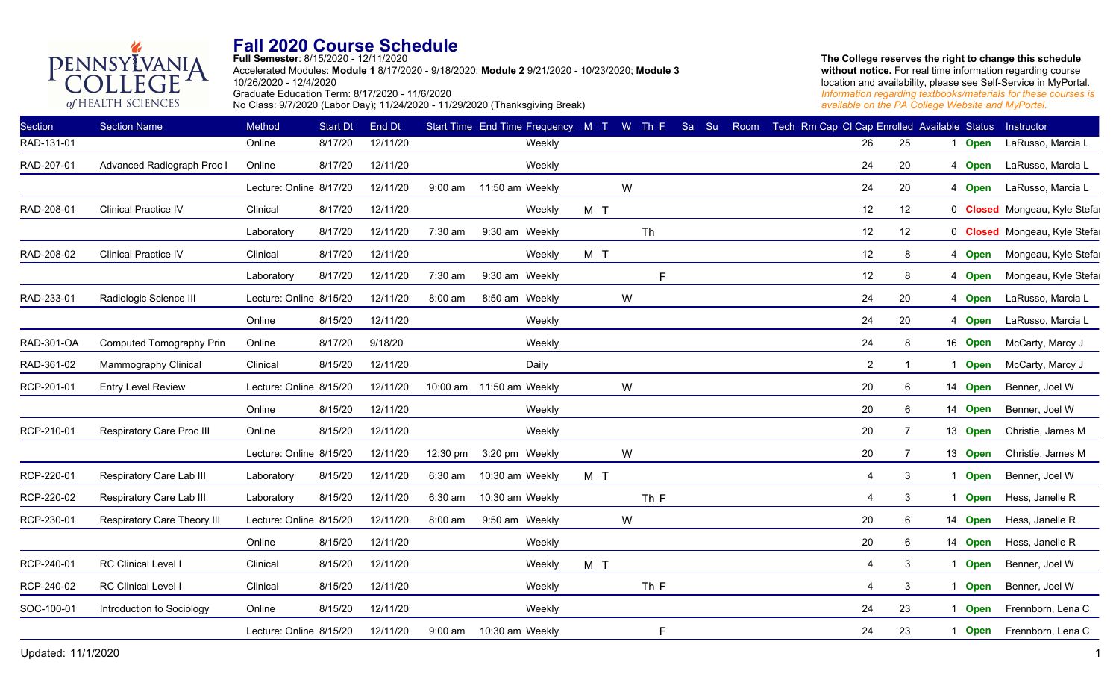

**Full Semester**: 8/15/2020 - 12/11/2020 Accelerated Modules: **Module 1** 8/17/2020 - 9/18/2020; **Module 2** 9/21/2020 - 10/23/2020; **Module 3** 10/26/2020 - 12/4/2020 Graduate Education Term: 8/17/2020 - 11/6/2020 No Class: 9/7/2020 (Labor Day); 11/24/2020 - 11/29/2020 (Thanksgiving Break)

| <b>Section</b> | <b>Section Name</b>         | Method                  | <b>Start Dt</b> | End Dt   |           | Start Time End Time Frequency M T W Th F |     |      | Sa Su | Room | Tech Rm Cap CI Cap Enrolled Available Status |                |             |             | Instructor                   |
|----------------|-----------------------------|-------------------------|-----------------|----------|-----------|------------------------------------------|-----|------|-------|------|----------------------------------------------|----------------|-------------|-------------|------------------------------|
| RAD-131-01     |                             | Online                  | 8/17/20         | 12/11/20 |           | Weekly                                   |     |      |       |      | 26                                           | 25             |             | <b>Open</b> | LaRusso, Marcia L            |
| RAD-207-01     | Advanced Radiograph Proc I  | Online                  | 8/17/20         | 12/11/20 |           | Weekly                                   |     |      |       |      | 24                                           | 20             |             | 4 Open      | LaRusso, Marcia L            |
|                |                             | Lecture: Online 8/17/20 |                 | 12/11/20 | 9:00 am   | 11:50 am Weekly                          |     | W    |       |      | 24                                           | 20             |             | 4 Open      | LaRusso, Marcia L            |
| RAD-208-01     | <b>Clinical Practice IV</b> | Clinical                | 8/17/20         | 12/11/20 |           | Weekly                                   | M T |      |       |      | 12                                           | 12             |             |             | 0 Closed Mongeau, Kyle Stefa |
|                |                             | Laboratory              | 8/17/20         | 12/11/20 | 7:30 am   | 9:30 am Weekly                           |     | Th   |       |      | 12                                           | 12             |             |             | 0 Closed Mongeau, Kyle Stefa |
| RAD-208-02     | <b>Clinical Practice IV</b> | Clinical                | 8/17/20         | 12/11/20 |           | Weekly                                   | M T |      |       |      | 12                                           | 8              |             | 4 Open      | Mongeau, Kyle Stefa          |
|                |                             | Laboratory              | 8/17/20         | 12/11/20 | 7:30 am   | 9:30 am Weekly                           |     | F    |       |      | 12                                           | 8              |             | 4 Open      | Mongeau, Kyle Stefa          |
| RAD-233-01     | Radiologic Science III      | Lecture: Online 8/15/20 |                 | 12/11/20 | 8:00 am   | 8:50 am Weekly                           |     | W    |       |      | 24                                           | 20             |             | 4 Open      | LaRusso, Marcia L            |
|                |                             | Online                  | 8/15/20         | 12/11/20 |           | Weekly                                   |     |      |       |      | 24                                           | 20             |             | 4 Open      | LaRusso, Marcia L            |
| RAD-301-OA     | Computed Tomography Prin    | Online                  | 8/17/20         | 9/18/20  |           | Weekly                                   |     |      |       |      | 24                                           | 8              |             | 16 Open     | McCarty, Marcy J             |
| RAD-361-02     | Mammography Clinical        | Clinical                | 8/15/20         | 12/11/20 |           | Daily                                    |     |      |       |      | $\overline{2}$                               | 1              | $\mathbf 1$ | <b>Open</b> | McCarty, Marcy J             |
| RCP-201-01     | <b>Entry Level Review</b>   | Lecture: Online 8/15/20 |                 | 12/11/20 | 10:00 am  | 11:50 am Weekly                          |     | W    |       |      | 20                                           | 6              |             | 14 Open     | Benner, Joel W               |
|                |                             | Online                  | 8/15/20         | 12/11/20 |           | Weekly                                   |     |      |       |      | 20                                           | 6              |             | 14 Open     | Benner, Joel W               |
| RCP-210-01     | Respiratory Care Proc III   | Online                  | 8/15/20         | 12/11/20 |           | Weekly                                   |     |      |       |      | 20                                           | 7              |             | 13 Open     | Christie, James M            |
|                |                             | Lecture: Online 8/15/20 |                 | 12/11/20 | 12:30 pm  | 3:20 pm Weekly                           |     | W    |       |      | 20                                           | $\overline{7}$ |             | 13 Open     | Christie, James M            |
| RCP-220-01     | Respiratory Care Lab III    | Laboratory              | 8/15/20         | 12/11/20 | 6:30 am   | 10:30 am Weekly                          | M T |      |       |      | $\overline{4}$                               | 3              | -1          | <b>Open</b> | Benner, Joel W               |
| RCP-220-02     | Respiratory Care Lab III    | Laboratory              | 8/15/20         | 12/11/20 | 6:30 am   | 10:30 am Weekly                          |     | Th F |       |      | $\overline{4}$                               | 3              | -1          | <b>Open</b> | Hess, Janelle R              |
| RCP-230-01     | Respiratory Care Theory III | Lecture: Online 8/15/20 |                 | 12/11/20 | 8:00 am   | 9:50 am Weekly                           |     | W    |       |      | 20                                           | 6              |             | 14 Open     | Hess, Janelle R              |
|                |                             | Online                  | 8/15/20         | 12/11/20 |           | Weekly                                   |     |      |       |      | 20                                           | 6              |             | 14 Open     | Hess, Janelle R              |
| RCP-240-01     | RC Clinical Level I         | Clinical                | 8/15/20         | 12/11/20 |           | Weekly                                   | M T |      |       |      | $\overline{4}$                               | 3              | -1          | <b>Open</b> | Benner, Joel W               |
| RCP-240-02     | RC Clinical Level I         | Clinical                | 8/15/20         | 12/11/20 |           | Weekly                                   |     | Th F |       |      | $\overline{4}$                               | 3              | -1          | <b>Open</b> | Benner, Joel W               |
| SOC-100-01     | Introduction to Sociology   | Online                  | 8/15/20         | 12/11/20 |           | Weekly                                   |     |      |       |      | 24                                           | 23             | 1           | <b>Open</b> | Frennborn, Lena C            |
|                |                             | Lecture: Online 8/15/20 |                 | 12/11/20 | $9:00$ am | 10:30 am Weekly                          |     | F    |       |      | 24                                           | 23             | -1          | <b>Open</b> | Frennborn, Lena C            |